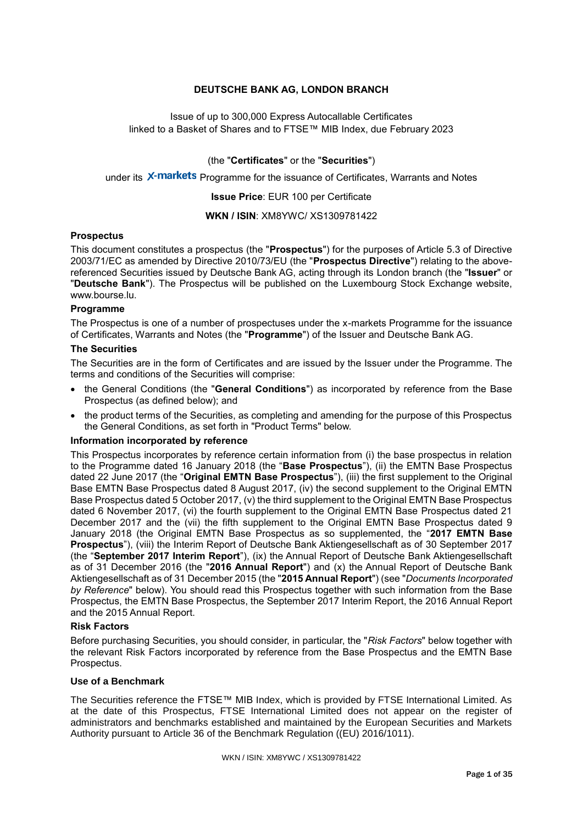# **DEUTSCHE BANK AG, LONDON BRANCH**

Issue of up to 300,000 Express Autocallable Certificates linked to a Basket of Shares and to FTSE™ MIB Index, due February 2023

(the "**Certificates**" or the "**Securities**")

under its X-markets Programme for the issuance of Certificates, Warrants and Notes

**Issue Price**: EUR 100 per Certificate

**WKN / ISIN**: XM8YWC/ XS1309781422

#### **Prospectus**

This document constitutes a prospectus (the "**Prospectus**") for the purposes of Article 5.3 of Directive 2003/71/EC as amended by Directive 2010/73/EU (the "**Prospectus Directive**") relating to the abovereferenced Securities issued by Deutsche Bank AG, acting through its London branch (the "**Issuer**" or "**Deutsche Bank**"). The Prospectus will be published on the Luxembourg Stock Exchange website, www.bourse.lu.

#### **Programme**

The Prospectus is one of a number of prospectuses under the x-markets Programme for the issuance of Certificates, Warrants and Notes (the "**Programme**") of the Issuer and Deutsche Bank AG.

#### **The Securities**

The Securities are in the form of Certificates and are issued by the Issuer under the Programme. The terms and conditions of the Securities will comprise:

- the General Conditions (the "**General Conditions**") as incorporated by reference from the Base Prospectus (as defined below); and
- the product terms of the Securities, as completing and amending for the purpose of this Prospectus the General Conditions, as set forth in "Product Terms" below.

#### **Information incorporated by reference**

This Prospectus incorporates by reference certain information from (i) the base prospectus in relation to the Programme dated 16 January 2018 (the "**Base Prospectus**"), (ii) the EMTN Base Prospectus dated 22 June 2017 (the "**Original EMTN Base Prospectus**"), (iii) the first supplement to the Original Base EMTN Base Prospectus dated 8 August 2017, (iv) the second supplement to the Original EMTN Base Prospectus dated 5 October 2017, (v) the third supplement to the Original EMTN Base Prospectus dated 6 November 2017, (vi) the fourth supplement to the Original EMTN Base Prospectus dated 21 December 2017 and the (vii) the fifth supplement to the Original EMTN Base Prospectus dated 9 January 2018 (the Original EMTN Base Prospectus as so supplemented, the "**2017 EMTN Base Prospectus**"), (viii) the Interim Report of Deutsche Bank Aktiengesellschaft as of 30 September 2017 (the "**September 2017 Interim Report**"), (ix) the Annual Report of Deutsche Bank Aktiengesellschaft as of 31 December 2016 (the "**2016 Annual Report**") and (x) the Annual Report of Deutsche Bank Aktiengesellschaft as of 31 December 2015 (the "**2015 Annual Report**") (see "*Documents Incorporated by Reference*" below). You should read this Prospectus together with such information from the Base Prospectus, the EMTN Base Prospectus, the September 2017 Interim Report, the 2016 Annual Report and the 2015 Annual Report.

#### **Risk Factors**

Before purchasing Securities, you should consider, in particular, the "*Risk Factors*" below together with the relevant Risk Factors incorporated by reference from the Base Prospectus and the EMTN Base Prospectus.

## **Use of a Benchmark**

The Securities reference the FTSE™ MIB Index, which is provided by FTSE International Limited. As at the date of this Prospectus, FTSE International Limited does not appear on the register of administrators and benchmarks established and maintained by the European Securities and Markets Authority pursuant to Article 36 of the Benchmark Regulation ((EU) 2016/1011).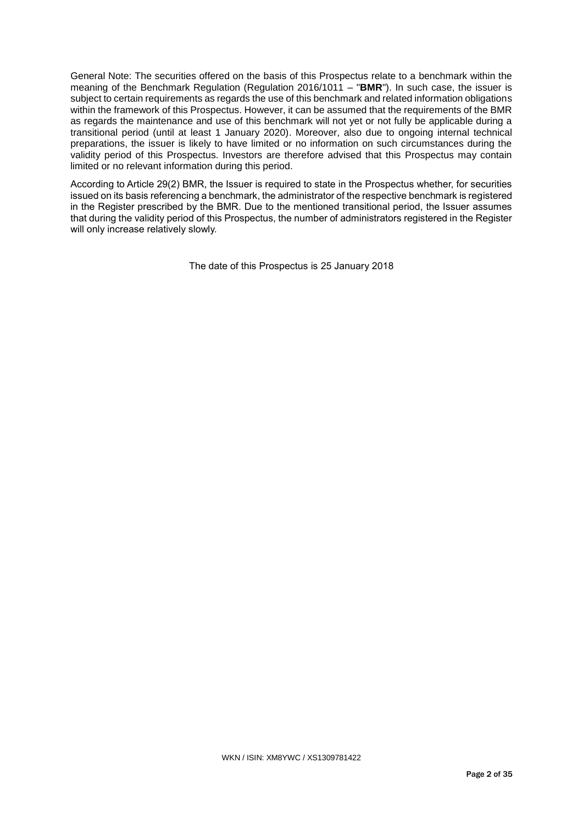General Note: The securities offered on the basis of this Prospectus relate to a benchmark within the meaning of the Benchmark Regulation (Regulation 2016/1011 – "**BMR**"). In such case, the issuer is subject to certain requirements as regards the use of this benchmark and related information obligations within the framework of this Prospectus. However, it can be assumed that the requirements of the BMR as regards the maintenance and use of this benchmark will not yet or not fully be applicable during a transitional period (until at least 1 January 2020). Moreover, also due to ongoing internal technical preparations, the issuer is likely to have limited or no information on such circumstances during the validity period of this Prospectus. Investors are therefore advised that this Prospectus may contain limited or no relevant information during this period.

According to Article 29(2) BMR, the Issuer is required to state in the Prospectus whether, for securities issued on its basis referencing a benchmark, the administrator of the respective benchmark is registered in the Register prescribed by the BMR. Due to the mentioned transitional period, the Issuer assumes that during the validity period of this Prospectus, the number of administrators registered in the Register will only increase relatively slowly.

The date of this Prospectus is 25 January 2018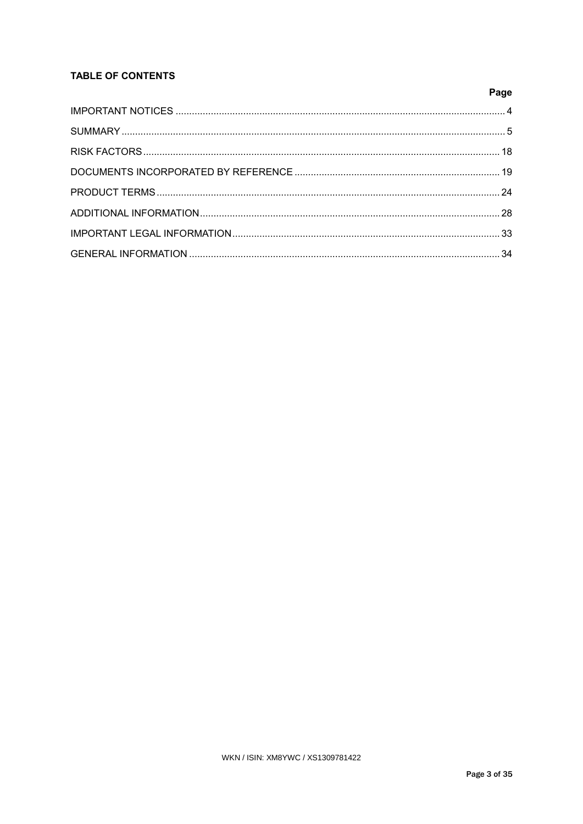# **TABLE OF CONTENTS**

| Page |
|------|
|      |
|      |
|      |
|      |
|      |
|      |
|      |
|      |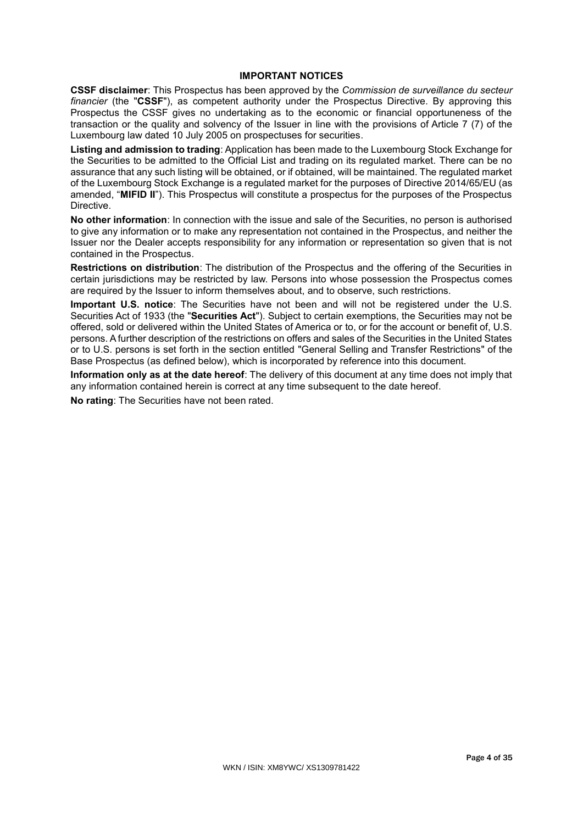# **IMPORTANT NOTICES**

**CSSF disclaimer**: This Prospectus has been approved by the *Commission de surveillance du secteur financier* (the "**CSSF**"), as competent authority under the Prospectus Directive. By approving this Prospectus the CSSF gives no undertaking as to the economic or financial opportuneness of the transaction or the quality and solvency of the Issuer in line with the provisions of Article 7 (7) of the Luxembourg law dated 10 July 2005 on prospectuses for securities.

**Listing and admission to trading**: Application has been made to the Luxembourg Stock Exchange for the Securities to be admitted to the Official List and trading on its regulated market. There can be no assurance that any such listing will be obtained, or if obtained, will be maintained. The regulated market of the Luxembourg Stock Exchange is a regulated market for the purposes of Directive 2014/65/EU (as amended, "**MIFID II**"). This Prospectus will constitute a prospectus for the purposes of the Prospectus Directive.

**No other information**: In connection with the issue and sale of the Securities, no person is authorised to give any information or to make any representation not contained in the Prospectus, and neither the Issuer nor the Dealer accepts responsibility for any information or representation so given that is not contained in the Prospectus.

**Restrictions on distribution**: The distribution of the Prospectus and the offering of the Securities in certain jurisdictions may be restricted by law. Persons into whose possession the Prospectus comes are required by the Issuer to inform themselves about, and to observe, such restrictions.

**Important U.S. notice**: The Securities have not been and will not be registered under the U.S. Securities Act of 1933 (the "**Securities Act**"). Subject to certain exemptions, the Securities may not be offered, sold or delivered within the United States of America or to, or for the account or benefit of, U.S. persons. A further description of the restrictions on offers and sales of the Securities in the United States or to U.S. persons is set forth in the section entitled "General Selling and Transfer Restrictions" of the Base Prospectus (as defined below), which is incorporated by reference into this document.

**Information only as at the date hereof**: The delivery of this document at any time does not imply that any information contained herein is correct at any time subsequent to the date hereof.

**No rating**: The Securities have not been rated.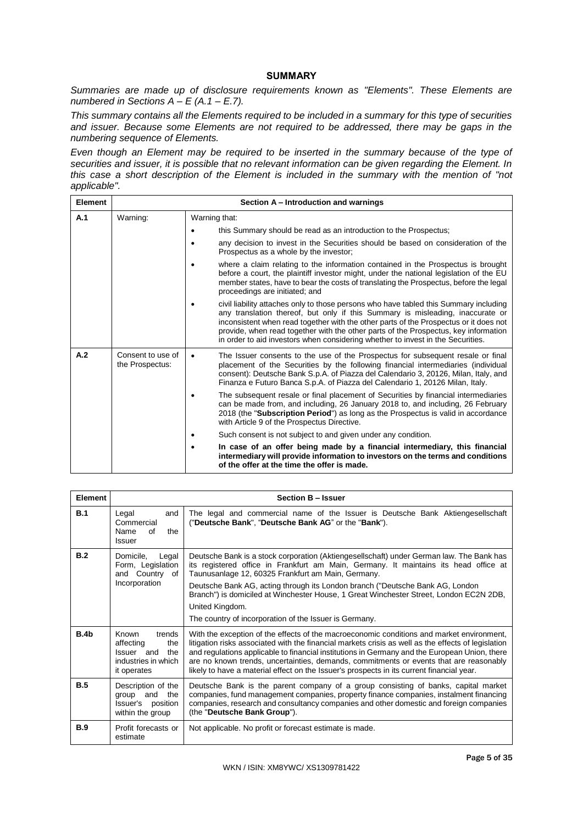# **SUMMARY**

*Summaries are made up of disclosure requirements known as "Elements". These Elements are numbered in Sections A – E (A.1 – E.7).*

*This summary contains all the Elements required to be included in a summary for this type of securities and issuer. Because some Elements are not required to be addressed, there may be gaps in the numbering sequence of Elements.* 

*Even though an Element may be required to be inserted in the summary because of the type of securities and issuer, it is possible that no relevant information can be given regarding the Element. In this case a short description of the Element is included in the summary with the mention of "not applicable".*

| <b>Element</b> |                                      | Section A – Introduction and warnings                                                                                                                                                                                                                                                                                                                                                                                                      |  |  |
|----------------|--------------------------------------|--------------------------------------------------------------------------------------------------------------------------------------------------------------------------------------------------------------------------------------------------------------------------------------------------------------------------------------------------------------------------------------------------------------------------------------------|--|--|
| A.1            | Warning:                             | Warning that:                                                                                                                                                                                                                                                                                                                                                                                                                              |  |  |
|                |                                      | this Summary should be read as an introduction to the Prospectus;                                                                                                                                                                                                                                                                                                                                                                          |  |  |
|                |                                      | any decision to invest in the Securities should be based on consideration of the<br>Prospectus as a whole by the investor;                                                                                                                                                                                                                                                                                                                 |  |  |
|                |                                      | where a claim relating to the information contained in the Prospectus is brought<br>before a court, the plaintiff investor might, under the national legislation of the EU<br>member states, have to bear the costs of translating the Prospectus, before the legal<br>proceedings are initiated; and                                                                                                                                      |  |  |
|                |                                      | civil liability attaches only to those persons who have tabled this Summary including<br>any translation thereof, but only if this Summary is misleading, inaccurate or<br>inconsistent when read together with the other parts of the Prospectus or it does not<br>provide, when read together with the other parts of the Prospectus, key information<br>in order to aid investors when considering whether to invest in the Securities. |  |  |
| A.2            | Consent to use of<br>the Prospectus: | The Issuer consents to the use of the Prospectus for subsequent resale or final<br>$\bullet$<br>placement of the Securities by the following financial intermediaries (individual<br>consent): Deutsche Bank S.p.A. of Piazza del Calendario 3, 20126, Milan, Italy, and<br>Finanza e Futuro Banca S.p.A. of Piazza del Calendario 1, 20126 Milan, Italy.                                                                                  |  |  |
|                |                                      | The subsequent resale or final placement of Securities by financial intermediaries<br>can be made from, and including, 26 January 2018 to, and including, 26 February<br>2018 (the "Subscription Period") as long as the Prospectus is valid in accordance<br>with Article 9 of the Prospectus Directive.                                                                                                                                  |  |  |
|                |                                      | Such consent is not subject to and given under any condition.                                                                                                                                                                                                                                                                                                                                                                              |  |  |
|                |                                      | In case of an offer being made by a financial intermediary, this financial<br>intermediary will provide information to investors on the terms and conditions<br>of the offer at the time the offer is made.                                                                                                                                                                                                                                |  |  |

| Element          |                                                                                                       | <b>Section B - Issuer</b>                                                                                                                                                                                                                                                                                                                                                                                                                                                                      |
|------------------|-------------------------------------------------------------------------------------------------------|------------------------------------------------------------------------------------------------------------------------------------------------------------------------------------------------------------------------------------------------------------------------------------------------------------------------------------------------------------------------------------------------------------------------------------------------------------------------------------------------|
| B.1              | Legal<br>and<br>Commercial<br>Name<br>οf<br>the<br>Issuer                                             | The legal and commercial name of the Issuer is Deutsche Bank Aktiengesellschaft<br>("Deutsche Bank", "Deutsche Bank AG" or the "Bank").                                                                                                                                                                                                                                                                                                                                                        |
| B.2              | Domicile,<br>Legal<br>Form, Legislation<br>and Country of<br>Incorporation                            | Deutsche Bank is a stock corporation (Aktiengesellschaft) under German law. The Bank has<br>its registered office in Frankfurt am Main, Germany. It maintains its head office at<br>Taunusanlage 12, 60325 Frankfurt am Main, Germany.<br>Deutsche Bank AG, acting through its London branch ("Deutsche Bank AG, London<br>Branch") is domiciled at Winchester House, 1 Great Winchester Street, London EC2N 2DB,<br>United Kingdom.<br>The country of incorporation of the Issuer is Germany. |
| B.4 <sub>b</sub> | trends<br><b>Known</b><br>affecting<br>the<br>the<br>Issuer and<br>industries in which<br>it operates | With the exception of the effects of the macroeconomic conditions and market environment,<br>litigation risks associated with the financial markets crisis as well as the effects of legislation<br>and regulations applicable to financial institutions in Germany and the European Union, there<br>are no known trends, uncertainties, demands, commitments or events that are reasonably<br>likely to have a material effect on the Issuer's prospects in its current financial year.       |
| B.5              | Description of the<br>and<br>the<br>group<br>Issuer's<br>position<br>within the group                 | Deutsche Bank is the parent company of a group consisting of banks, capital market<br>companies, fund management companies, property finance companies, instalment financing<br>companies, research and consultancy companies and other domestic and foreign companies<br>(the "Deutsche Bank Group").                                                                                                                                                                                         |
| <b>B.9</b>       | Profit forecasts or<br>estimate                                                                       | Not applicable. No profit or forecast estimate is made.                                                                                                                                                                                                                                                                                                                                                                                                                                        |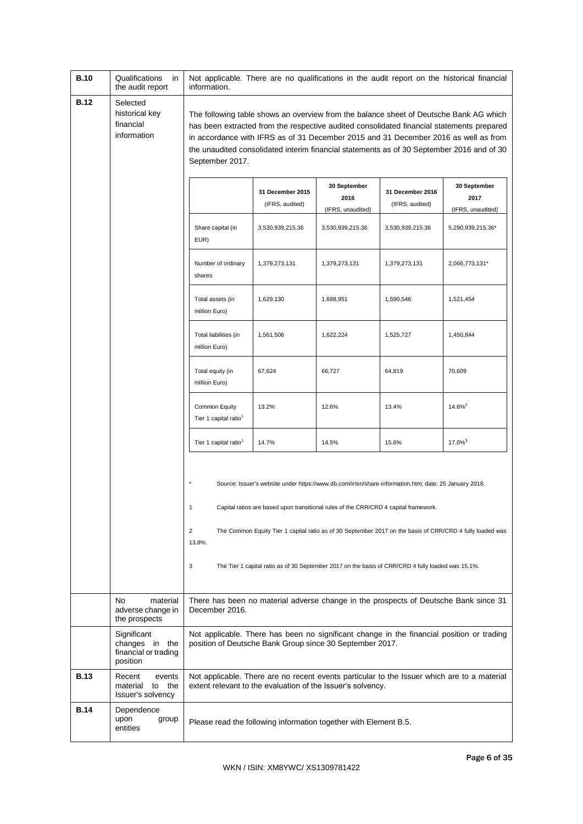| <b>B.10</b> | Qualifications<br>in<br>the audit report                          | information.                                                                                                                                                                                                                                                                                                                                                                               | Not applicable. There are no qualifications in the audit report on the historical financial                                                                                                                                                                                                         |                                           |                                     |                                                                                                           |
|-------------|-------------------------------------------------------------------|--------------------------------------------------------------------------------------------------------------------------------------------------------------------------------------------------------------------------------------------------------------------------------------------------------------------------------------------------------------------------------------------|-----------------------------------------------------------------------------------------------------------------------------------------------------------------------------------------------------------------------------------------------------------------------------------------------------|-------------------------------------------|-------------------------------------|-----------------------------------------------------------------------------------------------------------|
| <b>B.12</b> | Selected<br>historical key<br>financial<br>information            | The following table shows an overview from the balance sheet of Deutsche Bank AG which<br>has been extracted from the respective audited consolidated financial statements prepared<br>in accordance with IFRS as of 31 December 2015 and 31 December 2016 as well as from<br>the unaudited consolidated interim financial statements as of 30 September 2016 and of 30<br>September 2017. |                                                                                                                                                                                                                                                                                                     |                                           |                                     |                                                                                                           |
|             |                                                                   |                                                                                                                                                                                                                                                                                                                                                                                            | 31 December 2015<br>(IFRS, audited)                                                                                                                                                                                                                                                                 | 30 September<br>2016<br>(IFRS, unaudited) | 31 December 2016<br>(IFRS, audited) | 30 September<br>2017<br>(IFRS, unaudited)                                                                 |
|             |                                                                   | Share capital (in<br>EUR)                                                                                                                                                                                                                                                                                                                                                                  | 3,530,939,215.36                                                                                                                                                                                                                                                                                    | 3,530,939,215.36                          | 3,530,939,215.36                    | 5,290,939,215.36*                                                                                         |
|             |                                                                   | Number of ordinary<br>shares                                                                                                                                                                                                                                                                                                                                                               | 1,379,273,131                                                                                                                                                                                                                                                                                       | 1,379,273,131                             | 1,379,273,131                       | 2,066,773,131*                                                                                            |
|             |                                                                   | Total assets (in<br>million Euro)                                                                                                                                                                                                                                                                                                                                                          | 1,629,130                                                                                                                                                                                                                                                                                           | 1,688,951                                 | 1,590,546                           | 1,521,454                                                                                                 |
|             |                                                                   | Total liabilities (in<br>million Euro)                                                                                                                                                                                                                                                                                                                                                     | 1,561,506                                                                                                                                                                                                                                                                                           | 1,622,224                                 | 1,525,727                           | 1,450,844                                                                                                 |
|             |                                                                   | Total equity (in<br>million Euro)                                                                                                                                                                                                                                                                                                                                                          | 67,624                                                                                                                                                                                                                                                                                              | 66,727                                    | 64,819                              | 70,609                                                                                                    |
|             |                                                                   | Common Equity<br>Tier 1 capital ratio <sup>1</sup>                                                                                                                                                                                                                                                                                                                                         | 13.2%                                                                                                                                                                                                                                                                                               | 12.6%                                     | 13.4%                               | 14.6% <sup>2</sup>                                                                                        |
|             |                                                                   | Tier 1 capital ratio <sup>1</sup>                                                                                                                                                                                                                                                                                                                                                          | 14.7%                                                                                                                                                                                                                                                                                               | 14.5%                                     | 15.6%                               | $17.0\%$ <sup>3</sup>                                                                                     |
|             |                                                                   | $\overline{2}$<br>13.8%.<br>3                                                                                                                                                                                                                                                                                                                                                              | Source: Issuer's website under https://www.db.com/ir/en/share-information.htm; date: 25 January 2018.<br>Capital ratios are based upon transitional rules of the CRR/CRD 4 capital framework.<br>The Tier 1 capital ratio as of 30 September 2017 on the basis of CRR/CRD 4 fully loaded was 15.1%. |                                           |                                     | The Common Equity Tier 1 capital ratio as of 30 September 2017 on the basis of CRR/CRD 4 fully loaded was |
|             | No<br>material<br>adverse change in<br>the prospects              | There has been no material adverse change in the prospects of Deutsche Bank since 31<br>December 2016.                                                                                                                                                                                                                                                                                     |                                                                                                                                                                                                                                                                                                     |                                           |                                     |                                                                                                           |
|             | Significant<br>changes in the<br>financial or trading<br>position |                                                                                                                                                                                                                                                                                                                                                                                            | Not applicable. There has been no significant change in the financial position or trading<br>position of Deutsche Bank Group since 30 September 2017.                                                                                                                                               |                                           |                                     |                                                                                                           |
| <b>B.13</b> | Recent<br>events<br>the<br>material<br>to<br>Issuer's solvency    |                                                                                                                                                                                                                                                                                                                                                                                            | extent relevant to the evaluation of the Issuer's solvency.                                                                                                                                                                                                                                         |                                           |                                     | Not applicable. There are no recent events particular to the Issuer which are to a material               |
| <b>B.14</b> | Dependence<br>upon<br>group<br>entities                           |                                                                                                                                                                                                                                                                                                                                                                                            | Please read the following information together with Element B.5.                                                                                                                                                                                                                                    |                                           |                                     |                                                                                                           |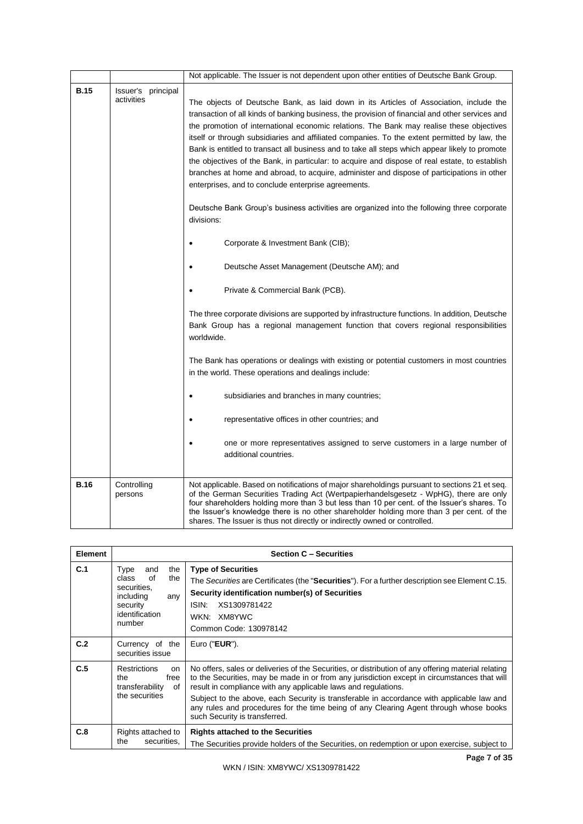|             |                                  | Not applicable. The Issuer is not dependent upon other entities of Deutsche Bank Group.                                                                                                                                                                                                                                                                                                                                                                                                                                                                                                                                                                                                                                                                                                                                                                    |
|-------------|----------------------------------|------------------------------------------------------------------------------------------------------------------------------------------------------------------------------------------------------------------------------------------------------------------------------------------------------------------------------------------------------------------------------------------------------------------------------------------------------------------------------------------------------------------------------------------------------------------------------------------------------------------------------------------------------------------------------------------------------------------------------------------------------------------------------------------------------------------------------------------------------------|
| <b>B.15</b> | Issuer's principal<br>activities | The objects of Deutsche Bank, as laid down in its Articles of Association, include the<br>transaction of all kinds of banking business, the provision of financial and other services and<br>the promotion of international economic relations. The Bank may realise these objectives<br>itself or through subsidiaries and affiliated companies. To the extent permitted by law, the<br>Bank is entitled to transact all business and to take all steps which appear likely to promote<br>the objectives of the Bank, in particular: to acquire and dispose of real estate, to establish<br>branches at home and abroad, to acquire, administer and dispose of participations in other<br>enterprises, and to conclude enterprise agreements.<br>Deutsche Bank Group's business activities are organized into the following three corporate<br>divisions: |
|             |                                  | Corporate & Investment Bank (CIB);<br>Deutsche Asset Management (Deutsche AM); and                                                                                                                                                                                                                                                                                                                                                                                                                                                                                                                                                                                                                                                                                                                                                                         |
|             |                                  | Private & Commercial Bank (PCB).                                                                                                                                                                                                                                                                                                                                                                                                                                                                                                                                                                                                                                                                                                                                                                                                                           |
|             |                                  | The three corporate divisions are supported by infrastructure functions. In addition, Deutsche<br>Bank Group has a regional management function that covers regional responsibilities<br>worldwide.                                                                                                                                                                                                                                                                                                                                                                                                                                                                                                                                                                                                                                                        |
|             |                                  | The Bank has operations or dealings with existing or potential customers in most countries<br>in the world. These operations and dealings include:                                                                                                                                                                                                                                                                                                                                                                                                                                                                                                                                                                                                                                                                                                         |
|             |                                  | subsidiaries and branches in many countries;<br>$\bullet$                                                                                                                                                                                                                                                                                                                                                                                                                                                                                                                                                                                                                                                                                                                                                                                                  |
|             |                                  | representative offices in other countries; and<br>$\bullet$                                                                                                                                                                                                                                                                                                                                                                                                                                                                                                                                                                                                                                                                                                                                                                                                |
|             |                                  | one or more representatives assigned to serve customers in a large number of<br>additional countries.                                                                                                                                                                                                                                                                                                                                                                                                                                                                                                                                                                                                                                                                                                                                                      |
| <b>B.16</b> | Controlling<br>persons           | Not applicable. Based on notifications of major shareholdings pursuant to sections 21 et seg.<br>of the German Securities Trading Act (Wertpapierhandelsgesetz - WpHG), there are only<br>four shareholders holding more than 3 but less than 10 per cent. of the Issuer's shares. To<br>the Issuer's knowledge there is no other shareholder holding more than 3 per cent. of the<br>shares. The Issuer is thus not directly or indirectly owned or controlled.                                                                                                                                                                                                                                                                                                                                                                                           |

| <b>Element</b> |                                                                                                                     | <b>Section C - Securities</b>                                                                                                                                                                                                                                                                                                                                      |  |  |
|----------------|---------------------------------------------------------------------------------------------------------------------|--------------------------------------------------------------------------------------------------------------------------------------------------------------------------------------------------------------------------------------------------------------------------------------------------------------------------------------------------------------------|--|--|
| C.1            | the<br>Type<br>and<br>class<br>οf<br>the<br>securities.<br>including<br>any<br>security<br>identification<br>number | <b>Type of Securities</b><br>The Securities are Certificates (the "Securities"). For a further description see Element C.15.<br>Security identification number(s) of Securities<br>ISIN:<br>XS1309781422<br>WKN: XM8YWC<br>Common Code: 130978142                                                                                                                  |  |  |
| C.2            | Currency of the<br>securities issue                                                                                 | Euro (" <b>EUR</b> ").                                                                                                                                                                                                                                                                                                                                             |  |  |
| C.5            | <b>Restrictions</b><br>on<br>free<br>the<br>transferability<br>of<br>the securities                                 | No offers, sales or deliveries of the Securities, or distribution of any offering material relating<br>to the Securities, may be made in or from any jurisdiction except in circumstances that will<br>result in compliance with any applicable laws and regulations.<br>Subject to the above, each Security is transferable in accordance with applicable law and |  |  |
|                |                                                                                                                     | any rules and procedures for the time being of any Clearing Agent through whose books<br>such Security is transferred.                                                                                                                                                                                                                                             |  |  |
| C.8            | Rights attached to                                                                                                  | <b>Rights attached to the Securities</b>                                                                                                                                                                                                                                                                                                                           |  |  |
|                | the<br>securities,                                                                                                  | The Securities provide holders of the Securities, on redemption or upon exercise, subject to                                                                                                                                                                                                                                                                       |  |  |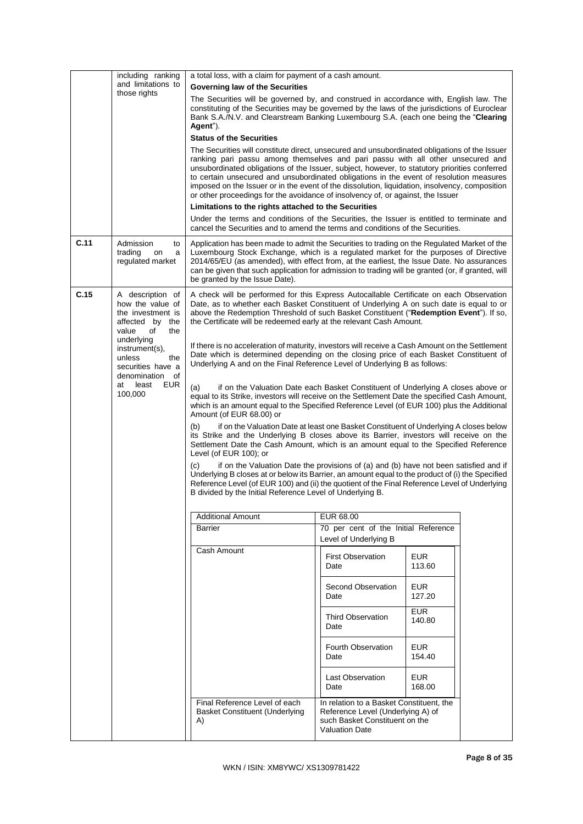|                                                | including ranking<br>and limitations to                                                                                                                                                                                                                                                    | a total loss, with a claim for payment of a cash amount.                                                                                                                                                                                                                                                                                                                                                                                                                                                                                                          |                                                                                                                                          |                      |  |
|------------------------------------------------|--------------------------------------------------------------------------------------------------------------------------------------------------------------------------------------------------------------------------------------------------------------------------------------------|-------------------------------------------------------------------------------------------------------------------------------------------------------------------------------------------------------------------------------------------------------------------------------------------------------------------------------------------------------------------------------------------------------------------------------------------------------------------------------------------------------------------------------------------------------------------|------------------------------------------------------------------------------------------------------------------------------------------|----------------------|--|
|                                                |                                                                                                                                                                                                                                                                                            | Governing law of the Securities                                                                                                                                                                                                                                                                                                                                                                                                                                                                                                                                   |                                                                                                                                          |                      |  |
| those rights                                   | The Securities will be governed by, and construed in accordance with, English law. The<br>constituting of the Securities may be governed by the laws of the jurisdictions of Euroclear<br>Bank S.A./N.V. and Clearstream Banking Luxembourg S.A. (each one being the "Clearing<br>Agent"). |                                                                                                                                                                                                                                                                                                                                                                                                                                                                                                                                                                   |                                                                                                                                          |                      |  |
|                                                |                                                                                                                                                                                                                                                                                            | <b>Status of the Securities</b>                                                                                                                                                                                                                                                                                                                                                                                                                                                                                                                                   |                                                                                                                                          |                      |  |
|                                                |                                                                                                                                                                                                                                                                                            | The Securities will constitute direct, unsecured and unsubordinated obligations of the Issuer<br>ranking pari passu among themselves and pari passu with all other unsecured and<br>unsubordinated obligations of the Issuer, subject, however, to statutory priorities conferred<br>to certain unsecured and unsubordinated obligations in the event of resolution measures<br>imposed on the Issuer or in the event of the dissolution, liquidation, insolvency, composition<br>or other proceedings for the avoidance of insolvency of, or against, the Issuer |                                                                                                                                          |                      |  |
|                                                |                                                                                                                                                                                                                                                                                            | Limitations to the rights attached to the Securities                                                                                                                                                                                                                                                                                                                                                                                                                                                                                                              |                                                                                                                                          |                      |  |
|                                                |                                                                                                                                                                                                                                                                                            | Under the terms and conditions of the Securities, the Issuer is entitled to terminate and<br>cancel the Securities and to amend the terms and conditions of the Securities.                                                                                                                                                                                                                                                                                                                                                                                       |                                                                                                                                          |                      |  |
| C.11                                           | Admission<br>to<br>trading<br>on<br>a<br>regulated market                                                                                                                                                                                                                                  | Application has been made to admit the Securities to trading on the Regulated Market of the<br>Luxembourg Stock Exchange, which is a regulated market for the purposes of Directive<br>2014/65/EU (as amended), with effect from, at the earliest, the Issue Date. No assurances<br>can be given that such application for admission to trading will be granted (or, if granted, will<br>be granted by the Issue Date).                                                                                                                                           |                                                                                                                                          |                      |  |
| C.15                                           | A description of<br>how the value of<br>the investment is<br>affected by<br>the<br>value<br>of<br>the                                                                                                                                                                                      | A check will be performed for this Express Autocallable Certificate on each Observation<br>Date, as to whether each Basket Constituent of Underlying A on such date is equal to or<br>above the Redemption Threshold of such Basket Constituent ("Redemption Event"). If so,<br>the Certificate will be redeemed early at the relevant Cash Amount.                                                                                                                                                                                                               |                                                                                                                                          |                      |  |
| underlying<br>unless<br>at<br>least<br>100,000 | instrument(s),<br>the<br>securities have a<br>denomination<br>of                                                                                                                                                                                                                           | If there is no acceleration of maturity, investors will receive a Cash Amount on the Settlement<br>Date which is determined depending on the closing price of each Basket Constituent of<br>Underlying A and on the Final Reference Level of Underlying B as follows:                                                                                                                                                                                                                                                                                             |                                                                                                                                          |                      |  |
|                                                | EUR                                                                                                                                                                                                                                                                                        | (a)<br>if on the Valuation Date each Basket Constituent of Underlying A closes above or<br>equal to its Strike, investors will receive on the Settlement Date the specified Cash Amount,<br>which is an amount equal to the Specified Reference Level (of EUR 100) plus the Additional<br>Amount (of EUR 68.00) or                                                                                                                                                                                                                                                |                                                                                                                                          |                      |  |
|                                                |                                                                                                                                                                                                                                                                                            | (b)<br>if on the Valuation Date at least one Basket Constituent of Underlying A closes below<br>its Strike and the Underlying B closes above its Barrier, investors will receive on the<br>Settlement Date the Cash Amount, which is an amount equal to the Specified Reference<br>Level (of EUR 100); or                                                                                                                                                                                                                                                         |                                                                                                                                          |                      |  |
|                                                |                                                                                                                                                                                                                                                                                            | if on the Valuation Date the provisions of (a) and (b) have not been satisfied and if<br>(c)<br>Underlying B closes at or below its Barrier, an amount equal to the product of (i) the Specified<br>Reference Level (of EUR 100) and (ii) the quotient of the Final Reference Level of Underlying<br>B divided by the Initial Reference Level of Underlying B.                                                                                                                                                                                                    |                                                                                                                                          |                      |  |
|                                                |                                                                                                                                                                                                                                                                                            | <b>Additional Amount</b>                                                                                                                                                                                                                                                                                                                                                                                                                                                                                                                                          | EUR 68.00                                                                                                                                |                      |  |
|                                                |                                                                                                                                                                                                                                                                                            | <b>Barrier</b>                                                                                                                                                                                                                                                                                                                                                                                                                                                                                                                                                    | 70 per cent of the Initial Reference                                                                                                     |                      |  |
|                                                |                                                                                                                                                                                                                                                                                            |                                                                                                                                                                                                                                                                                                                                                                                                                                                                                                                                                                   | Level of Underlying B                                                                                                                    |                      |  |
|                                                |                                                                                                                                                                                                                                                                                            | Cash Amount                                                                                                                                                                                                                                                                                                                                                                                                                                                                                                                                                       | <b>First Observation</b><br>Date                                                                                                         | <b>EUR</b><br>113.60 |  |
|                                                |                                                                                                                                                                                                                                                                                            |                                                                                                                                                                                                                                                                                                                                                                                                                                                                                                                                                                   | Second Observation<br>Date                                                                                                               | EUR.<br>127.20       |  |
|                                                |                                                                                                                                                                                                                                                                                            |                                                                                                                                                                                                                                                                                                                                                                                                                                                                                                                                                                   | <b>Third Observation</b><br>Date                                                                                                         | <b>EUR</b><br>140.80 |  |
|                                                |                                                                                                                                                                                                                                                                                            |                                                                                                                                                                                                                                                                                                                                                                                                                                                                                                                                                                   | Fourth Observation<br>Date                                                                                                               | <b>EUR</b><br>154.40 |  |
|                                                |                                                                                                                                                                                                                                                                                            |                                                                                                                                                                                                                                                                                                                                                                                                                                                                                                                                                                   | <b>Last Observation</b><br>Date                                                                                                          | <b>EUR</b><br>168.00 |  |
|                                                |                                                                                                                                                                                                                                                                                            | Final Reference Level of each<br>Basket Constituent (Underlying<br>A)                                                                                                                                                                                                                                                                                                                                                                                                                                                                                             | In relation to a Basket Constituent, the<br>Reference Level (Underlying A) of<br>such Basket Constituent on the<br><b>Valuation Date</b> |                      |  |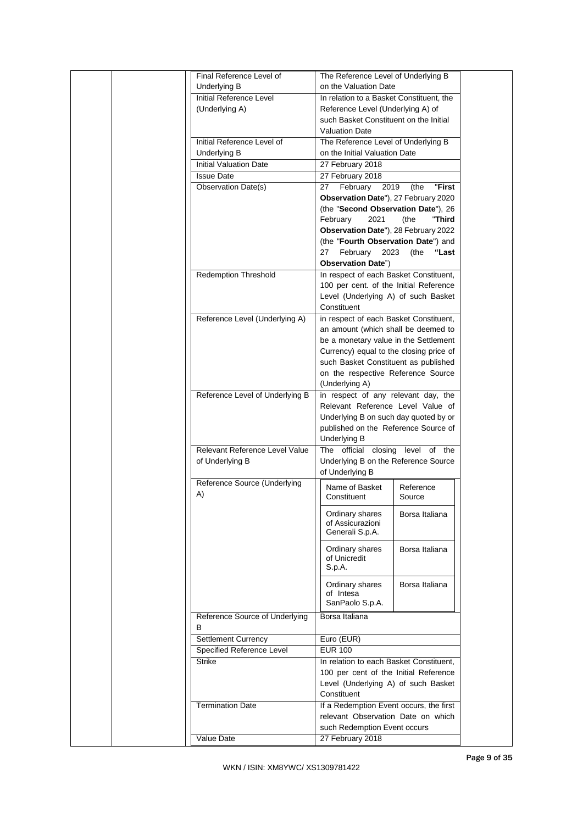|  | Final Reference Level of        | The Reference Level of Underlying B      |                |  |
|--|---------------------------------|------------------------------------------|----------------|--|
|  | Underlying B                    | on the Valuation Date                    |                |  |
|  | <b>Initial Reference Level</b>  | In relation to a Basket Constituent, the |                |  |
|  | (Underlying A)                  | Reference Level (Underlying A) of        |                |  |
|  |                                 | such Basket Constituent on the Initial   |                |  |
|  |                                 | <b>Valuation Date</b>                    |                |  |
|  | Initial Reference Level of      | The Reference Level of Underlying B      |                |  |
|  | Underlying B                    | on the Initial Valuation Date            |                |  |
|  | <b>Initial Valuation Date</b>   |                                          |                |  |
|  |                                 | 27 February 2018                         |                |  |
|  | <b>Issue Date</b>               | 27 February 2018                         |                |  |
|  | Observation Date(s)             | 27<br>February 2019                      | "First<br>(the |  |
|  |                                 | Observation Date"), 27 February 2020     |                |  |
|  |                                 | (the "Second Observation Date"), 26      |                |  |
|  |                                 | 2021<br>February                         | (the<br>"Third |  |
|  |                                 | Observation Date"), 28 February 2022     |                |  |
|  |                                 | (the "Fourth Observation Date") and      |                |  |
|  |                                 | 27 February 2023                         | (the<br>"Last  |  |
|  |                                 | <b>Observation Date")</b>                |                |  |
|  | <b>Redemption Threshold</b>     | In respect of each Basket Constituent,   |                |  |
|  |                                 | 100 per cent. of the Initial Reference   |                |  |
|  |                                 | Level (Underlying A) of such Basket      |                |  |
|  |                                 | Constituent                              |                |  |
|  | Reference Level (Underlying A)  | in respect of each Basket Constituent,   |                |  |
|  |                                 | an amount (which shall be deemed to      |                |  |
|  |                                 | be a monetary value in the Settlement    |                |  |
|  |                                 | Currency) equal to the closing price of  |                |  |
|  |                                 | such Basket Constituent as published     |                |  |
|  |                                 | on the respective Reference Source       |                |  |
|  |                                 | (Underlying A)                           |                |  |
|  | Reference Level of Underlying B | in respect of any relevant day, the      |                |  |
|  |                                 | Relevant Reference Level Value of        |                |  |
|  |                                 | Underlying B on such day quoted by or    |                |  |
|  |                                 | published on the Reference Source of     |                |  |
|  |                                 | Underlying B                             |                |  |
|  | Relevant Reference Level Value  | The official closing level of the        |                |  |
|  | of Underlying B                 | Underlying B on the Reference Source     |                |  |
|  |                                 | of Underlying B                          |                |  |
|  | Reference Source (Underlying    | Name of Basket                           | Reference      |  |
|  | A)                              | Constituent                              | Source         |  |
|  |                                 | Ordinary shares                          | Borsa Italiana |  |
|  |                                 | of Assicurazioni                         |                |  |
|  |                                 | Generali S.p.A.                          |                |  |
|  |                                 |                                          |                |  |
|  |                                 | Ordinary shares<br>of Unicredit          | Borsa Italiana |  |
|  |                                 | S.p.A.                                   |                |  |
|  |                                 |                                          |                |  |
|  |                                 | Ordinary shares                          | Borsa Italiana |  |
|  |                                 | of Intesa<br>SanPaolo S.p.A.             |                |  |
|  |                                 |                                          |                |  |
|  | Reference Source of Underlying  | Borsa Italiana                           |                |  |
|  | В                               |                                          |                |  |
|  | <b>Settlement Currency</b>      | Euro (EUR)                               |                |  |
|  | Specified Reference Level       | <b>EUR 100</b>                           |                |  |
|  | <b>Strike</b>                   | In relation to each Basket Constituent,  |                |  |
|  |                                 | 100 per cent of the Initial Reference    |                |  |
|  |                                 | Level (Underlying A) of such Basket      |                |  |
|  |                                 | Constituent                              |                |  |
|  | <b>Termination Date</b>         | If a Redemption Event occurs, the first  |                |  |
|  |                                 | relevant Observation Date on which       |                |  |
|  |                                 | such Redemption Event occurs             |                |  |
|  | Value Date                      | 27 February 2018                         |                |  |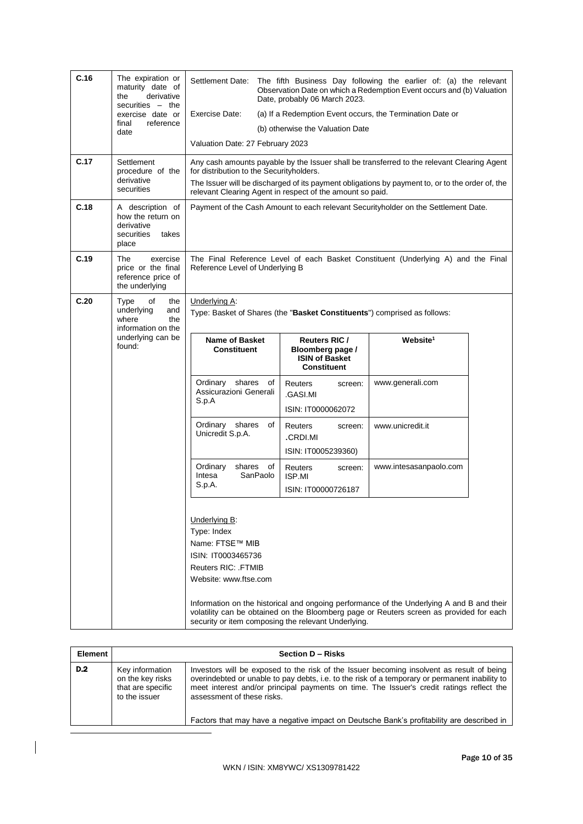| C.16 | The expiration or<br>maturity date of<br>derivative<br>the<br>securities $-$ the<br>exercise date or<br>reference<br>final<br>date | Settlement Date:<br>Exercise Date:<br>Valuation Date: 27 February 2023                                                                                                                                                                                                                                 | Date, probably 06 March 2023.<br>(b) otherwise the Valuation Date                | The fifth Business Day following the earlier of: (a) the relevant<br>Observation Date on which a Redemption Event occurs and (b) Valuation<br>(a) If a Redemption Event occurs, the Termination Date or |                  |  |
|------|------------------------------------------------------------------------------------------------------------------------------------|--------------------------------------------------------------------------------------------------------------------------------------------------------------------------------------------------------------------------------------------------------------------------------------------------------|----------------------------------------------------------------------------------|---------------------------------------------------------------------------------------------------------------------------------------------------------------------------------------------------------|------------------|--|
| C.17 | Settlement<br>procedure of the<br>derivative<br>securities                                                                         | Any cash amounts payable by the Issuer shall be transferred to the relevant Clearing Agent<br>for distribution to the Securityholders.<br>The Issuer will be discharged of its payment obligations by payment to, or to the order of, the<br>relevant Clearing Agent in respect of the amount so paid. |                                                                                  |                                                                                                                                                                                                         |                  |  |
| C.18 | A description of<br>how the return on<br>derivative<br>securities<br>takes<br>place                                                | Payment of the Cash Amount to each relevant Securityholder on the Settlement Date.                                                                                                                                                                                                                     |                                                                                  |                                                                                                                                                                                                         |                  |  |
| C.19 | The<br>exercise<br>price or the final<br>reference price of<br>the underlying                                                      | The Final Reference Level of each Basket Constituent (Underlying A) and the Final<br>Reference Level of Underlying B                                                                                                                                                                                   |                                                                                  |                                                                                                                                                                                                         |                  |  |
| C.20 | Type<br>of<br>the<br>underlying<br>and<br>where<br>the<br>information on the                                                       | Underlying A:                                                                                                                                                                                                                                                                                          | Type: Basket of Shares (the "Basket Constituents") comprised as follows:         |                                                                                                                                                                                                         |                  |  |
|      | underlying can be<br>found:                                                                                                        | <b>Name of Basket</b><br><b>Constituent</b>                                                                                                                                                                                                                                                            | Reuters RIC /<br>Bloomberg page /<br><b>ISIN of Basket</b><br><b>Constituent</b> | Website <sup>1</sup>                                                                                                                                                                                    |                  |  |
|      |                                                                                                                                    | Ordinary shares<br>of<br>Assicurazioni Generali<br>S.p.A                                                                                                                                                                                                                                               | <b>Reuters</b><br>screen:<br>.GASI.MI<br>ISIN: IT0000062072                      | www.generali.com                                                                                                                                                                                        |                  |  |
|      |                                                                                                                                    |                                                                                                                                                                                                                                                                                                        | shares<br>Ordinary<br>οf<br>Unicredit S.p.A.                                     | <b>Reuters</b><br>screen:<br>.CRDI.MI<br>ISIN: IT0005239360)                                                                                                                                            | www.unicredit.it |  |
|      |                                                                                                                                    | Ordinary<br>shares of<br>Intesa<br>SanPaolo<br>S.p.A.                                                                                                                                                                                                                                                  | <b>Reuters</b><br>screen:<br>ISP.MI<br>ISIN: IT00000726187                       | www.intesasanpaolo.com                                                                                                                                                                                  |                  |  |
|      |                                                                                                                                    | Underlying B:<br>Type: Index<br>Name: FTSE™ MIB<br>ISIN: IT0003465736<br><b>Reuters RIC: FTMIB</b><br>Website: www.ftse.com                                                                                                                                                                            | security or item composing the relevant Underlying.                              | Information on the historical and ongoing performance of the Underlying A and B and their<br>volatility can be obtained on the Bloomberg page or Reuters screen as provided for each                    |                  |  |

| Element |                                                                           | <b>Section D - Risks</b>                                                                                                                                                                                                                                                                                                                                                                                           |  |
|---------|---------------------------------------------------------------------------|--------------------------------------------------------------------------------------------------------------------------------------------------------------------------------------------------------------------------------------------------------------------------------------------------------------------------------------------------------------------------------------------------------------------|--|
| D.2     | Key information<br>on the key risks<br>that are specific<br>to the issuer | Investors will be exposed to the risk of the Issuer becoming insolvent as result of being<br>overindebted or unable to pay debts, i.e. to the risk of a temporary or permanent inability to<br>meet interest and/or principal payments on time. The Issuer's credit ratings reflect the<br>assessment of these risks.<br>Factors that may have a negative impact on Deutsche Bank's profitability are described in |  |

 $\overline{\phantom{a}}$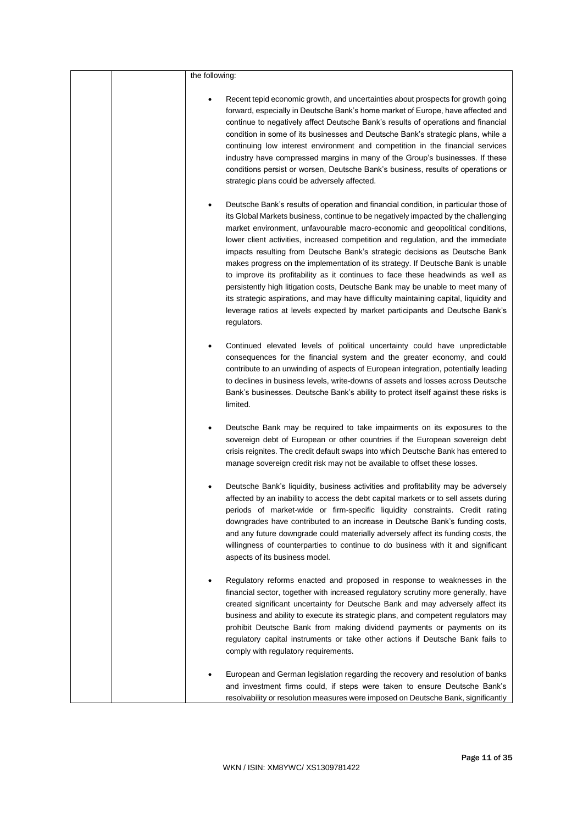|  | the following:                                                                                                                                                                                                                                                                                                                                                                                                                                                                                                                                                                                                                                                                                                                                                                                                                                                                        |
|--|---------------------------------------------------------------------------------------------------------------------------------------------------------------------------------------------------------------------------------------------------------------------------------------------------------------------------------------------------------------------------------------------------------------------------------------------------------------------------------------------------------------------------------------------------------------------------------------------------------------------------------------------------------------------------------------------------------------------------------------------------------------------------------------------------------------------------------------------------------------------------------------|
|  | Recent tepid economic growth, and uncertainties about prospects for growth going<br>forward, especially in Deutsche Bank's home market of Europe, have affected and<br>continue to negatively affect Deutsche Bank's results of operations and financial<br>condition in some of its businesses and Deutsche Bank's strategic plans, while a<br>continuing low interest environment and competition in the financial services<br>industry have compressed margins in many of the Group's businesses. If these<br>conditions persist or worsen, Deutsche Bank's business, results of operations or<br>strategic plans could be adversely affected.                                                                                                                                                                                                                                     |
|  | Deutsche Bank's results of operation and financial condition, in particular those of<br>٠<br>its Global Markets business, continue to be negatively impacted by the challenging<br>market environment, unfavourable macro-economic and geopolitical conditions,<br>lower client activities, increased competition and regulation, and the immediate<br>impacts resulting from Deutsche Bank's strategic decisions as Deutsche Bank<br>makes progress on the implementation of its strategy. If Deutsche Bank is unable<br>to improve its profitability as it continues to face these headwinds as well as<br>persistently high litigation costs, Deutsche Bank may be unable to meet many of<br>its strategic aspirations, and may have difficulty maintaining capital, liquidity and<br>leverage ratios at levels expected by market participants and Deutsche Bank's<br>regulators. |
|  | Continued elevated levels of political uncertainty could have unpredictable<br>٠<br>consequences for the financial system and the greater economy, and could<br>contribute to an unwinding of aspects of European integration, potentially leading<br>to declines in business levels, write-downs of assets and losses across Deutsche<br>Bank's businesses. Deutsche Bank's ability to protect itself against these risks is<br>limited.                                                                                                                                                                                                                                                                                                                                                                                                                                             |
|  | Deutsche Bank may be required to take impairments on its exposures to the<br>٠<br>sovereign debt of European or other countries if the European sovereign debt<br>crisis reignites. The credit default swaps into which Deutsche Bank has entered to<br>manage sovereign credit risk may not be available to offset these losses.                                                                                                                                                                                                                                                                                                                                                                                                                                                                                                                                                     |
|  | Deutsche Bank's liquidity, business activities and profitability may be adversely<br>affected by an inability to access the debt capital markets or to sell assets during<br>periods of market-wide or firm-specific liquidity constraints. Credit rating<br>downgrades have contributed to an increase in Deutsche Bank's funding costs,<br>and any future downgrade could materially adversely affect its funding costs, the<br>willingness of counterparties to continue to do business with it and significant<br>aspects of its business model.                                                                                                                                                                                                                                                                                                                                  |
|  | Regulatory reforms enacted and proposed in response to weaknesses in the<br>financial sector, together with increased regulatory scrutiny more generally, have<br>created significant uncertainty for Deutsche Bank and may adversely affect its<br>business and ability to execute its strategic plans, and competent regulators may<br>prohibit Deutsche Bank from making dividend payments or payments on its<br>regulatory capital instruments or take other actions if Deutsche Bank fails to<br>comply with regulatory requirements.                                                                                                                                                                                                                                                                                                                                            |
|  | European and German legislation regarding the recovery and resolution of banks<br>and investment firms could, if steps were taken to ensure Deutsche Bank's<br>resolvability or resolution measures were imposed on Deutsche Bank, significantly                                                                                                                                                                                                                                                                                                                                                                                                                                                                                                                                                                                                                                      |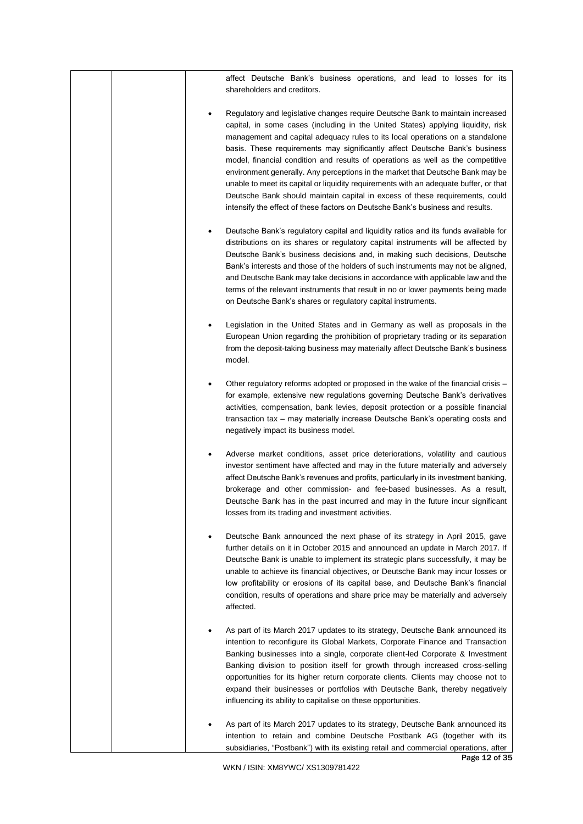| affect Deutsche Bank's business operations, and lead to losses for its<br>shareholders and creditors.                                                                                                                                                                                                                                                                                                                                                                                                                                                                                                                                                                                                                                                              |
|--------------------------------------------------------------------------------------------------------------------------------------------------------------------------------------------------------------------------------------------------------------------------------------------------------------------------------------------------------------------------------------------------------------------------------------------------------------------------------------------------------------------------------------------------------------------------------------------------------------------------------------------------------------------------------------------------------------------------------------------------------------------|
| Regulatory and legislative changes require Deutsche Bank to maintain increased<br>capital, in some cases (including in the United States) applying liquidity, risk<br>management and capital adequacy rules to its local operations on a standalone<br>basis. These requirements may significantly affect Deutsche Bank's business<br>model, financial condition and results of operations as well as the competitive<br>environment generally. Any perceptions in the market that Deutsche Bank may be<br>unable to meet its capital or liquidity requirements with an adequate buffer, or that<br>Deutsche Bank should maintain capital in excess of these requirements, could<br>intensify the effect of these factors on Deutsche Bank's business and results. |
| Deutsche Bank's regulatory capital and liquidity ratios and its funds available for<br>distributions on its shares or regulatory capital instruments will be affected by<br>Deutsche Bank's business decisions and, in making such decisions, Deutsche<br>Bank's interests and those of the holders of such instruments may not be aligned,<br>and Deutsche Bank may take decisions in accordance with applicable law and the<br>terms of the relevant instruments that result in no or lower payments being made<br>on Deutsche Bank's shares or regulatory capital instruments.                                                                                                                                                                                  |
| Legislation in the United States and in Germany as well as proposals in the<br>European Union regarding the prohibition of proprietary trading or its separation<br>from the deposit-taking business may materially affect Deutsche Bank's business<br>model.                                                                                                                                                                                                                                                                                                                                                                                                                                                                                                      |
| Other regulatory reforms adopted or proposed in the wake of the financial crisis -<br>for example, extensive new regulations governing Deutsche Bank's derivatives<br>activities, compensation, bank levies, deposit protection or a possible financial<br>transaction tax - may materially increase Deutsche Bank's operating costs and<br>negatively impact its business model.                                                                                                                                                                                                                                                                                                                                                                                  |
| Adverse market conditions, asset price deteriorations, volatility and cautious<br>investor sentiment have affected and may in the future materially and adversely<br>affect Deutsche Bank's revenues and profits, particularly in its investment banking,<br>brokerage and other commission- and fee-based businesses. As a result,<br>Deutsche Bank has in the past incurred and may in the future incur significant<br>losses from its trading and investment activities.                                                                                                                                                                                                                                                                                        |
| Deutsche Bank announced the next phase of its strategy in April 2015, gave<br>further details on it in October 2015 and announced an update in March 2017. If<br>Deutsche Bank is unable to implement its strategic plans successfully, it may be<br>unable to achieve its financial objectives, or Deutsche Bank may incur losses or<br>low profitability or erosions of its capital base, and Deutsche Bank's financial<br>condition, results of operations and share price may be materially and adversely<br>affected.                                                                                                                                                                                                                                         |
| As part of its March 2017 updates to its strategy, Deutsche Bank announced its<br>intention to reconfigure its Global Markets, Corporate Finance and Transaction<br>Banking businesses into a single, corporate client-led Corporate & Investment<br>Banking division to position itself for growth through increased cross-selling<br>opportunities for its higher return corporate clients. Clients may choose not to<br>expand their businesses or portfolios with Deutsche Bank, thereby negatively<br>influencing its ability to capitalise on these opportunities.                                                                                                                                                                                           |
| As part of its March 2017 updates to its strategy, Deutsche Bank announced its<br>intention to retain and combine Deutsche Postbank AG (together with its<br>subsidiaries, "Postbank") with its existing retail and commercial operations, after                                                                                                                                                                                                                                                                                                                                                                                                                                                                                                                   |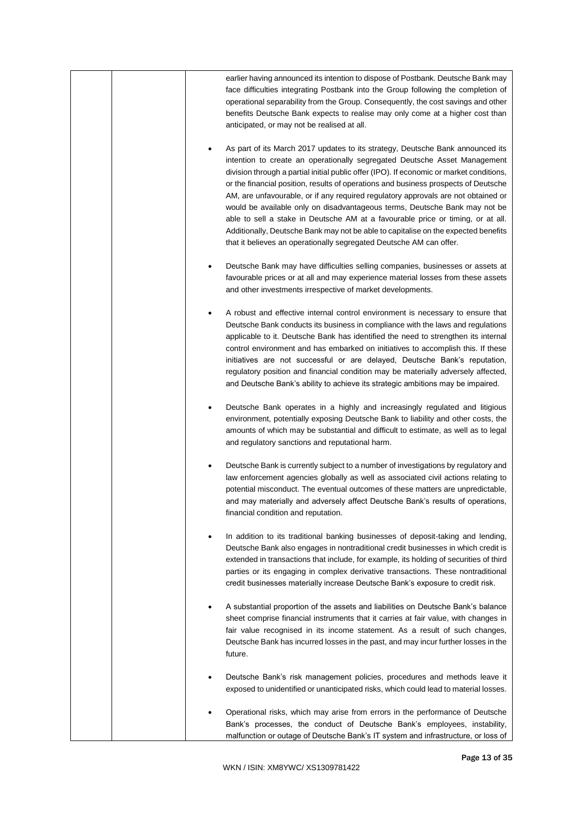|  | earlier having announced its intention to dispose of Postbank. Deutsche Bank may<br>face difficulties integrating Postbank into the Group following the completion of<br>operational separability from the Group. Consequently, the cost savings and other<br>benefits Deutsche Bank expects to realise may only come at a higher cost than<br>anticipated, or may not be realised at all.                                                                                                                                                                                                                                                                                                                                                                             |
|--|------------------------------------------------------------------------------------------------------------------------------------------------------------------------------------------------------------------------------------------------------------------------------------------------------------------------------------------------------------------------------------------------------------------------------------------------------------------------------------------------------------------------------------------------------------------------------------------------------------------------------------------------------------------------------------------------------------------------------------------------------------------------|
|  | As part of its March 2017 updates to its strategy, Deutsche Bank announced its<br>٠<br>intention to create an operationally segregated Deutsche Asset Management<br>division through a partial initial public offer (IPO). If economic or market conditions,<br>or the financial position, results of operations and business prospects of Deutsche<br>AM, are unfavourable, or if any required regulatory approvals are not obtained or<br>would be available only on disadvantageous terms, Deutsche Bank may not be<br>able to sell a stake in Deutsche AM at a favourable price or timing, or at all.<br>Additionally, Deutsche Bank may not be able to capitalise on the expected benefits<br>that it believes an operationally segregated Deutsche AM can offer. |
|  | Deutsche Bank may have difficulties selling companies, businesses or assets at<br>٠<br>favourable prices or at all and may experience material losses from these assets<br>and other investments irrespective of market developments.                                                                                                                                                                                                                                                                                                                                                                                                                                                                                                                                  |
|  | A robust and effective internal control environment is necessary to ensure that<br>٠<br>Deutsche Bank conducts its business in compliance with the laws and regulations<br>applicable to it. Deutsche Bank has identified the need to strengthen its internal<br>control environment and has embarked on initiatives to accomplish this. If these<br>initiatives are not successful or are delayed, Deutsche Bank's reputation,<br>regulatory position and financial condition may be materially adversely affected,<br>and Deutsche Bank's ability to achieve its strategic ambitions may be impaired.                                                                                                                                                                |
|  | Deutsche Bank operates in a highly and increasingly regulated and litigious<br>٠<br>environment, potentially exposing Deutsche Bank to liability and other costs, the<br>amounts of which may be substantial and difficult to estimate, as well as to legal<br>and regulatory sanctions and reputational harm.                                                                                                                                                                                                                                                                                                                                                                                                                                                         |
|  | Deutsche Bank is currently subject to a number of investigations by regulatory and<br>law enforcement agencies globally as well as associated civil actions relating to<br>potential misconduct. The eventual outcomes of these matters are unpredictable,<br>and may materially and adversely affect Deutsche Bank's results of operations,<br>financial condition and reputation.                                                                                                                                                                                                                                                                                                                                                                                    |
|  | In addition to its traditional banking businesses of deposit-taking and lending,<br>٠<br>Deutsche Bank also engages in nontraditional credit businesses in which credit is<br>extended in transactions that include, for example, its holding of securities of third<br>parties or its engaging in complex derivative transactions. These nontraditional<br>credit businesses materially increase Deutsche Bank's exposure to credit risk.                                                                                                                                                                                                                                                                                                                             |
|  | A substantial proportion of the assets and liabilities on Deutsche Bank's balance<br>sheet comprise financial instruments that it carries at fair value, with changes in<br>fair value recognised in its income statement. As a result of such changes,<br>Deutsche Bank has incurred losses in the past, and may incur further losses in the<br>future.                                                                                                                                                                                                                                                                                                                                                                                                               |
|  | Deutsche Bank's risk management policies, procedures and methods leave it<br>exposed to unidentified or unanticipated risks, which could lead to material losses.                                                                                                                                                                                                                                                                                                                                                                                                                                                                                                                                                                                                      |
|  | Operational risks, which may arise from errors in the performance of Deutsche<br>Bank's processes, the conduct of Deutsche Bank's employees, instability,<br>malfunction or outage of Deutsche Bank's IT system and infrastructure, or loss of                                                                                                                                                                                                                                                                                                                                                                                                                                                                                                                         |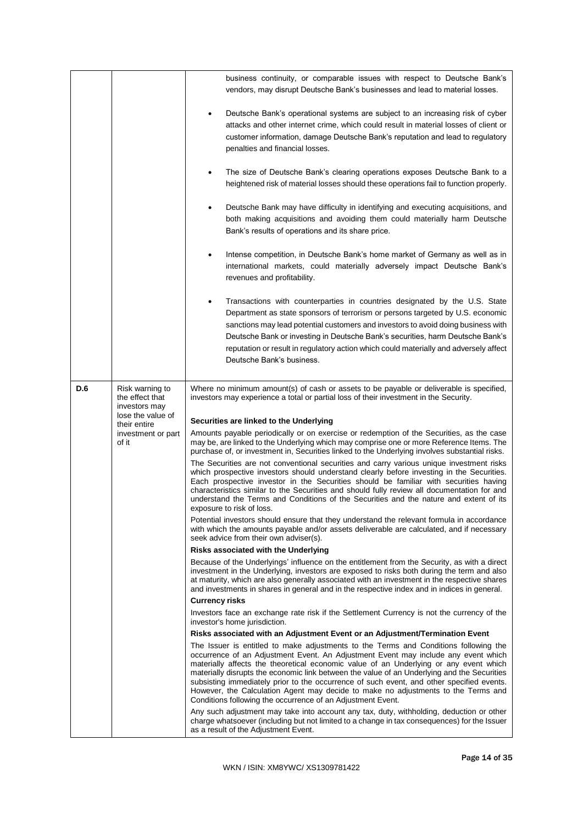|     |                                             | business continuity, or comparable issues with respect to Deutsche Bank's                                                                                                                                                                                                                                                                                                                                                                                                                                                                                                                                           |
|-----|---------------------------------------------|---------------------------------------------------------------------------------------------------------------------------------------------------------------------------------------------------------------------------------------------------------------------------------------------------------------------------------------------------------------------------------------------------------------------------------------------------------------------------------------------------------------------------------------------------------------------------------------------------------------------|
|     |                                             | vendors, may disrupt Deutsche Bank's businesses and lead to material losses.                                                                                                                                                                                                                                                                                                                                                                                                                                                                                                                                        |
|     |                                             | Deutsche Bank's operational systems are subject to an increasing risk of cyber<br>$\bullet$<br>attacks and other internet crime, which could result in material losses of client or<br>customer information, damage Deutsche Bank's reputation and lead to regulatory<br>penalties and financial losses.                                                                                                                                                                                                                                                                                                            |
|     |                                             | The size of Deutsche Bank's clearing operations exposes Deutsche Bank to a<br>$\bullet$<br>heightened risk of material losses should these operations fail to function properly.                                                                                                                                                                                                                                                                                                                                                                                                                                    |
|     |                                             | Deutsche Bank may have difficulty in identifying and executing acquisitions, and<br>both making acquisitions and avoiding them could materially harm Deutsche<br>Bank's results of operations and its share price.                                                                                                                                                                                                                                                                                                                                                                                                  |
|     |                                             | Intense competition, in Deutsche Bank's home market of Germany as well as in<br>$\bullet$<br>international markets, could materially adversely impact Deutsche Bank's<br>revenues and profitability.                                                                                                                                                                                                                                                                                                                                                                                                                |
|     |                                             | Transactions with counterparties in countries designated by the U.S. State<br>$\bullet$<br>Department as state sponsors of terrorism or persons targeted by U.S. economic<br>sanctions may lead potential customers and investors to avoid doing business with<br>Deutsche Bank or investing in Deutsche Bank's securities, harm Deutsche Bank's<br>reputation or result in regulatory action which could materially and adversely affect<br>Deutsche Bank's business.                                                                                                                                              |
| D.6 | Risk warning to                             | Where no minimum amount(s) of cash or assets to be payable or deliverable is specified,                                                                                                                                                                                                                                                                                                                                                                                                                                                                                                                             |
|     | the effect that                             | investors may experience a total or partial loss of their investment in the Security.                                                                                                                                                                                                                                                                                                                                                                                                                                                                                                                               |
|     |                                             |                                                                                                                                                                                                                                                                                                                                                                                                                                                                                                                                                                                                                     |
|     | investors may<br>lose the value of          |                                                                                                                                                                                                                                                                                                                                                                                                                                                                                                                                                                                                                     |
|     | their entire<br>investment or part<br>of it | Securities are linked to the Underlying<br>Amounts payable periodically or on exercise or redemption of the Securities, as the case<br>may be, are linked to the Underlying which may comprise one or more Reference Items. The<br>purchase of, or investment in, Securities linked to the Underlying involves substantial risks.                                                                                                                                                                                                                                                                                   |
|     |                                             | The Securities are not conventional securities and carry various unique investment risks<br>which prospective investors should understand clearly before investing in the Securities.<br>Each prospective investor in the Securities should be familiar with securities having<br>characteristics similar to the Securities and should fully review all documentation for and<br>understand the Terms and Conditions of the Securities and the nature and extent of its<br>exposure to risk of loss.                                                                                                                |
|     |                                             | Potential investors should ensure that they understand the relevant formula in accordance<br>with which the amounts payable and/or assets deliverable are calculated, and if necessary<br>seek advice from their own adviser(s).                                                                                                                                                                                                                                                                                                                                                                                    |
|     |                                             | Risks associated with the Underlying                                                                                                                                                                                                                                                                                                                                                                                                                                                                                                                                                                                |
|     |                                             | Because of the Underlyings' influence on the entitlement from the Security, as with a direct<br>investment in the Underlying, investors are exposed to risks both during the term and also<br>at maturity, which are also generally associated with an investment in the respective shares<br>and investments in shares in general and in the respective index and in indices in general.                                                                                                                                                                                                                           |
|     |                                             | <b>Currency risks</b>                                                                                                                                                                                                                                                                                                                                                                                                                                                                                                                                                                                               |
|     |                                             | Investors face an exchange rate risk if the Settlement Currency is not the currency of the                                                                                                                                                                                                                                                                                                                                                                                                                                                                                                                          |
|     |                                             | investor's home jurisdiction.<br>Risks associated with an Adjustment Event or an Adjustment/Termination Event                                                                                                                                                                                                                                                                                                                                                                                                                                                                                                       |
|     |                                             | The Issuer is entitled to make adjustments to the Terms and Conditions following the<br>occurrence of an Adjustment Event. An Adjustment Event may include any event which<br>materially affects the theoretical economic value of an Underlying or any event which<br>materially disrupts the economic link between the value of an Underlying and the Securities<br>subsisting immediately prior to the occurrence of such event, and other specified events.<br>However, the Calculation Agent may decide to make no adjustments to the Terms and<br>Conditions following the occurrence of an Adjustment Event. |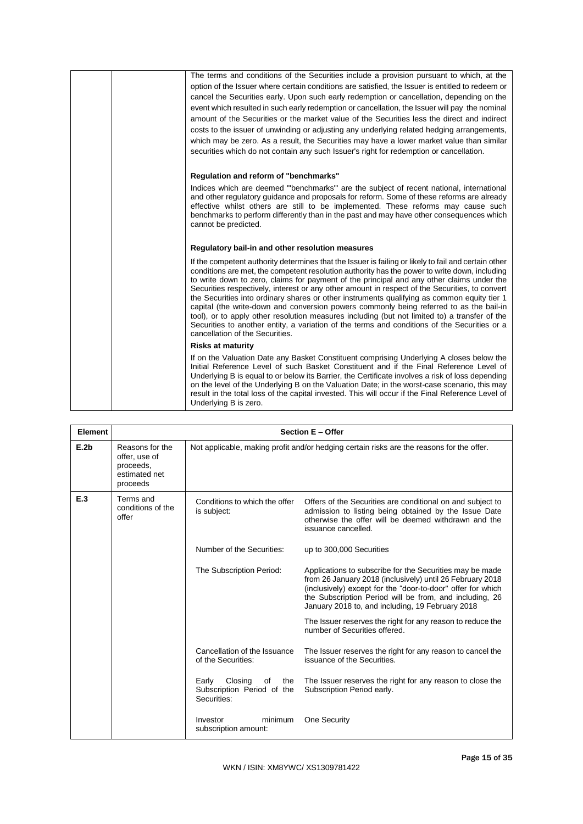|  | The terms and conditions of the Securities include a provision pursuant to which, at the                                                                                                                                                                                                                                                                                                                                                                                                                                                                                                                                                                                                                                                                                                                                           |
|--|------------------------------------------------------------------------------------------------------------------------------------------------------------------------------------------------------------------------------------------------------------------------------------------------------------------------------------------------------------------------------------------------------------------------------------------------------------------------------------------------------------------------------------------------------------------------------------------------------------------------------------------------------------------------------------------------------------------------------------------------------------------------------------------------------------------------------------|
|  | option of the Issuer where certain conditions are satisfied, the Issuer is entitled to redeem or                                                                                                                                                                                                                                                                                                                                                                                                                                                                                                                                                                                                                                                                                                                                   |
|  | cancel the Securities early. Upon such early redemption or cancellation, depending on the                                                                                                                                                                                                                                                                                                                                                                                                                                                                                                                                                                                                                                                                                                                                          |
|  | event which resulted in such early redemption or cancellation, the Issuer will pay the nominal                                                                                                                                                                                                                                                                                                                                                                                                                                                                                                                                                                                                                                                                                                                                     |
|  | amount of the Securities or the market value of the Securities less the direct and indirect                                                                                                                                                                                                                                                                                                                                                                                                                                                                                                                                                                                                                                                                                                                                        |
|  | costs to the issuer of unwinding or adjusting any underlying related hedging arrangements,                                                                                                                                                                                                                                                                                                                                                                                                                                                                                                                                                                                                                                                                                                                                         |
|  | which may be zero. As a result, the Securities may have a lower market value than similar                                                                                                                                                                                                                                                                                                                                                                                                                                                                                                                                                                                                                                                                                                                                          |
|  | securities which do not contain any such Issuer's right for redemption or cancellation.                                                                                                                                                                                                                                                                                                                                                                                                                                                                                                                                                                                                                                                                                                                                            |
|  | Regulation and reform of "benchmarks"                                                                                                                                                                                                                                                                                                                                                                                                                                                                                                                                                                                                                                                                                                                                                                                              |
|  | Indices which are deemed "benchmarks" are the subject of recent national, international<br>and other regulatory guidance and proposals for reform. Some of these reforms are already<br>effective whilst others are still to be implemented. These reforms may cause such<br>benchmarks to perform differently than in the past and may have other consequences which<br>cannot be predicted.                                                                                                                                                                                                                                                                                                                                                                                                                                      |
|  | Regulatory bail-in and other resolution measures                                                                                                                                                                                                                                                                                                                                                                                                                                                                                                                                                                                                                                                                                                                                                                                   |
|  |                                                                                                                                                                                                                                                                                                                                                                                                                                                                                                                                                                                                                                                                                                                                                                                                                                    |
|  | If the competent authority determines that the Issuer is failing or likely to fail and certain other<br>conditions are met, the competent resolution authority has the power to write down, including<br>to write down to zero, claims for payment of the principal and any other claims under the<br>Securities respectively, interest or any other amount in respect of the Securities, to convert<br>the Securities into ordinary shares or other instruments qualifying as common equity tier 1<br>capital (the write-down and conversion powers commonly being referred to as the bail-in<br>tool), or to apply other resolution measures including (but not limited to) a transfer of the<br>Securities to another entity, a variation of the terms and conditions of the Securities or a<br>cancellation of the Securities. |
|  | <b>Risks at maturity</b>                                                                                                                                                                                                                                                                                                                                                                                                                                                                                                                                                                                                                                                                                                                                                                                                           |

| Element | <b>Section E - Offer</b>                                                   |                                                                                           |                                                                                                                                                                                                                                                                                                     |
|---------|----------------------------------------------------------------------------|-------------------------------------------------------------------------------------------|-----------------------------------------------------------------------------------------------------------------------------------------------------------------------------------------------------------------------------------------------------------------------------------------------------|
| E.2b    | Reasons for the<br>offer, use of<br>proceeds.<br>estimated net<br>proceeds | Not applicable, making profit and/or hedging certain risks are the reasons for the offer. |                                                                                                                                                                                                                                                                                                     |
| E.3     | Terms and<br>conditions of the<br>offer                                    | Conditions to which the offer<br>is subject:                                              | Offers of the Securities are conditional on and subject to<br>admission to listing being obtained by the Issue Date<br>otherwise the offer will be deemed withdrawn and the<br>issuance cancelled.                                                                                                  |
|         |                                                                            | Number of the Securities:                                                                 | up to 300,000 Securities                                                                                                                                                                                                                                                                            |
|         |                                                                            | The Subscription Period:                                                                  | Applications to subscribe for the Securities may be made<br>from 26 January 2018 (inclusively) until 26 February 2018<br>(inclusively) except for the "door-to-door" offer for which<br>the Subscription Period will be from, and including, 26<br>January 2018 to, and including, 19 February 2018 |
|         |                                                                            |                                                                                           | The Issuer reserves the right for any reason to reduce the<br>number of Securities offered.                                                                                                                                                                                                         |
|         |                                                                            | Cancellation of the Issuance<br>of the Securities:                                        | The Issuer reserves the right for any reason to cancel the<br>issuance of the Securities.                                                                                                                                                                                                           |
|         |                                                                            | Closing<br>Early<br>of<br>the<br>Subscription Period of the<br>Securities:                | The Issuer reserves the right for any reason to close the<br>Subscription Period early.                                                                                                                                                                                                             |
|         |                                                                            | minimum<br>Investor<br>subscription amount:                                               | One Security                                                                                                                                                                                                                                                                                        |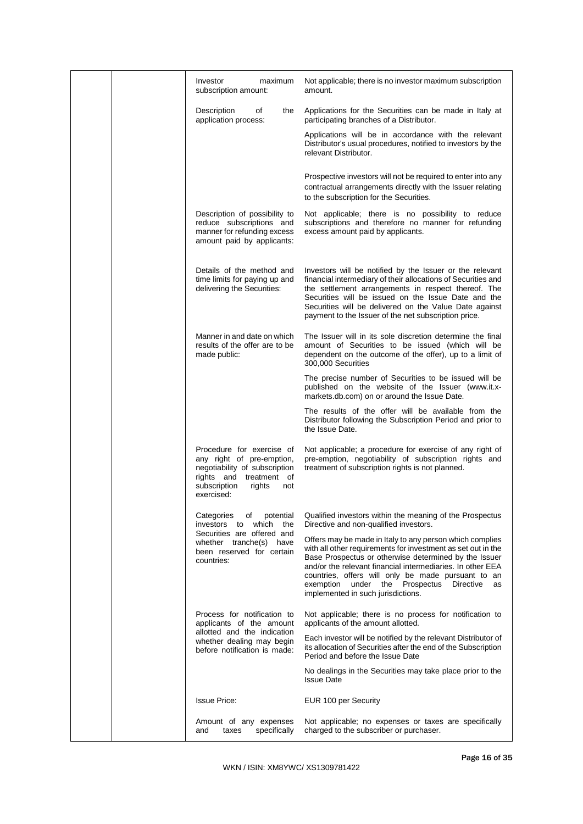|  | Investor<br>maximum<br>subscription amount:                                                                                                                          | Not applicable; there is no investor maximum subscription<br>amount.                                                                                                                                                                                                                                                                                                                             |
|--|----------------------------------------------------------------------------------------------------------------------------------------------------------------------|--------------------------------------------------------------------------------------------------------------------------------------------------------------------------------------------------------------------------------------------------------------------------------------------------------------------------------------------------------------------------------------------------|
|  | Description<br>of<br>the<br>application process:                                                                                                                     | Applications for the Securities can be made in Italy at<br>participating branches of a Distributor.                                                                                                                                                                                                                                                                                              |
|  |                                                                                                                                                                      | Applications will be in accordance with the relevant<br>Distributor's usual procedures, notified to investors by the<br>relevant Distributor.                                                                                                                                                                                                                                                    |
|  |                                                                                                                                                                      | Prospective investors will not be required to enter into any<br>contractual arrangements directly with the Issuer relating<br>to the subscription for the Securities.                                                                                                                                                                                                                            |
|  | Description of possibility to<br>reduce subscriptions and<br>manner for refunding excess<br>amount paid by applicants:                                               | Not applicable; there is no possibility to reduce<br>subscriptions and therefore no manner for refunding<br>excess amount paid by applicants.                                                                                                                                                                                                                                                    |
|  | Details of the method and<br>time limits for paying up and<br>delivering the Securities:                                                                             | Investors will be notified by the Issuer or the relevant<br>financial intermediary of their allocations of Securities and<br>the settlement arrangements in respect thereof. The<br>Securities will be issued on the Issue Date and the<br>Securities will be delivered on the Value Date against<br>payment to the Issuer of the net subscription price.                                        |
|  | Manner in and date on which<br>results of the offer are to be<br>made public:                                                                                        | The Issuer will in its sole discretion determine the final<br>amount of Securities to be issued (which will be<br>dependent on the outcome of the offer), up to a limit of<br>300,000 Securities                                                                                                                                                                                                 |
|  |                                                                                                                                                                      | The precise number of Securities to be issued will be<br>published on the website of the Issuer (www.it.x-<br>markets.db.com) on or around the Issue Date.                                                                                                                                                                                                                                       |
|  |                                                                                                                                                                      | The results of the offer will be available from the<br>Distributor following the Subscription Period and prior to<br>the Issue Date.                                                                                                                                                                                                                                                             |
|  | Procedure for exercise of<br>any right of pre-emption,<br>negotiability of subscription<br>rights and<br>treatment of<br>subscription<br>rights<br>not<br>exercised: | Not applicable; a procedure for exercise of any right of<br>pre-emption, negotiability of subscription rights and<br>treatment of subscription rights is not planned.                                                                                                                                                                                                                            |
|  | Categories<br>potential<br>of<br>investors to<br>which<br>the                                                                                                        | Qualified investors within the meaning of the Prospectus<br>Directive and non-qualified investors.                                                                                                                                                                                                                                                                                               |
|  | Securities are offered and<br>whether tranche(s) have<br>been reserved for certain<br>countries:                                                                     | Offers may be made in Italy to any person which complies<br>with all other requirements for investment as set out in the<br>Base Prospectus or otherwise determined by the Issuer<br>and/or the relevant financial intermediaries. In other EEA<br>countries, offers will only be made pursuant to an<br>exemption under the Prospectus<br>Directive<br>as<br>implemented in such jurisdictions. |
|  | Process for notification to<br>applicants of the amount                                                                                                              | Not applicable; there is no process for notification to<br>applicants of the amount allotted.                                                                                                                                                                                                                                                                                                    |
|  | allotted and the indication<br>whether dealing may begin<br>before notification is made:                                                                             | Each investor will be notified by the relevant Distributor of<br>its allocation of Securities after the end of the Subscription<br>Period and before the Issue Date                                                                                                                                                                                                                              |
|  |                                                                                                                                                                      | No dealings in the Securities may take place prior to the<br><b>Issue Date</b>                                                                                                                                                                                                                                                                                                                   |
|  | <b>Issue Price:</b>                                                                                                                                                  | EUR 100 per Security                                                                                                                                                                                                                                                                                                                                                                             |
|  | Amount of any expenses<br>specifically<br>and<br>taxes                                                                                                               | Not applicable; no expenses or taxes are specifically<br>charged to the subscriber or purchaser.                                                                                                                                                                                                                                                                                                 |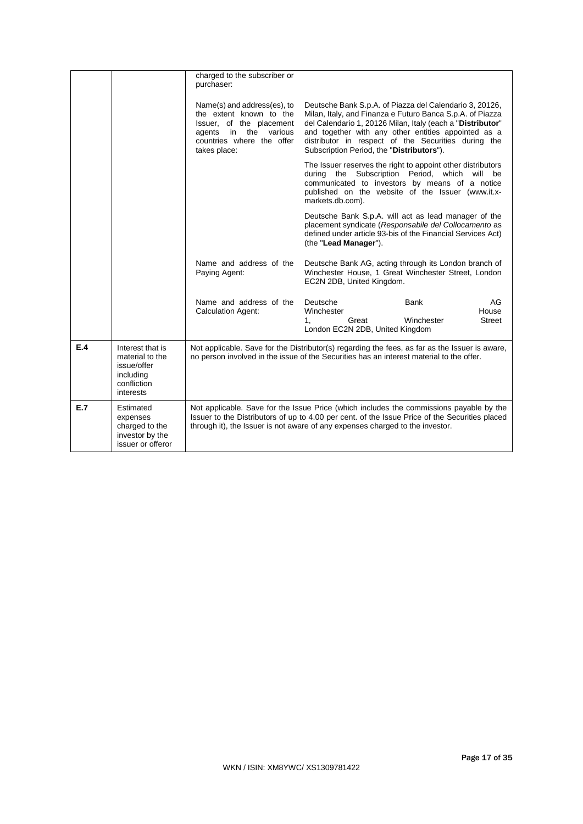|     |                                                                                             | charged to the subscriber or<br>purchaser:                                                                                                                                                                                                                                 |                                                                                                                                                                                                                                                                                                                                               |                           |                               |
|-----|---------------------------------------------------------------------------------------------|----------------------------------------------------------------------------------------------------------------------------------------------------------------------------------------------------------------------------------------------------------------------------|-----------------------------------------------------------------------------------------------------------------------------------------------------------------------------------------------------------------------------------------------------------------------------------------------------------------------------------------------|---------------------------|-------------------------------|
|     |                                                                                             | Name(s) and address(es), to<br>the extent known to the<br>Issuer, of the placement<br>agents in the various<br>countries where the offer<br>takes place:                                                                                                                   | Deutsche Bank S.p.A. of Piazza del Calendario 3, 20126,<br>Milan, Italy, and Finanza e Futuro Banca S.p.A. of Piazza<br>del Calendario 1, 20126 Milan, Italy (each a "Distributor"<br>and together with any other entities appointed as a<br>distributor in respect of the Securities during the<br>Subscription Period, the "Distributors"). |                           |                               |
|     |                                                                                             |                                                                                                                                                                                                                                                                            | The Issuer reserves the right to appoint other distributors<br>during the Subscription Period, which will be<br>communicated to investors by means of a notice<br>published on the website of the Issuer (www.it.x-<br>markets.db.com).                                                                                                       |                           |                               |
|     |                                                                                             |                                                                                                                                                                                                                                                                            | Deutsche Bank S.p.A. will act as lead manager of the<br>placement syndicate (Responsabile del Collocamento as<br>defined under article 93-bis of the Financial Services Act)<br>(the "Lead Manager").                                                                                                                                         |                           |                               |
|     |                                                                                             | Name and address of the<br>Paying Agent:                                                                                                                                                                                                                                   | Deutsche Bank AG, acting through its London branch of<br>Winchester House, 1 Great Winchester Street, London<br>EC2N 2DB, United Kingdom.                                                                                                                                                                                                     |                           |                               |
|     |                                                                                             | Name and address of the<br><b>Calculation Agent:</b>                                                                                                                                                                                                                       | Deutsche<br>Winchester<br>Great<br>1 <sub>1</sub>                                                                                                                                                                                                                                                                                             | <b>Bank</b><br>Winchester | AG.<br>House<br><b>Street</b> |
|     |                                                                                             |                                                                                                                                                                                                                                                                            | London EC2N 2DB, United Kingdom                                                                                                                                                                                                                                                                                                               |                           |                               |
| E.4 | Interest that is<br>material to the<br>issue/offer<br>including<br>confliction<br>interests | Not applicable. Save for the Distributor(s) regarding the fees, as far as the Issuer is aware,<br>no person involved in the issue of the Securities has an interest material to the offer.                                                                                 |                                                                                                                                                                                                                                                                                                                                               |                           |                               |
| E.7 | Estimated<br>expenses<br>charged to the<br>investor by the<br>issuer or offeror             | Not applicable. Save for the Issue Price (which includes the commissions payable by the<br>Issuer to the Distributors of up to 4.00 per cent. of the Issue Price of the Securities placed<br>through it), the Issuer is not aware of any expenses charged to the investor. |                                                                                                                                                                                                                                                                                                                                               |                           |                               |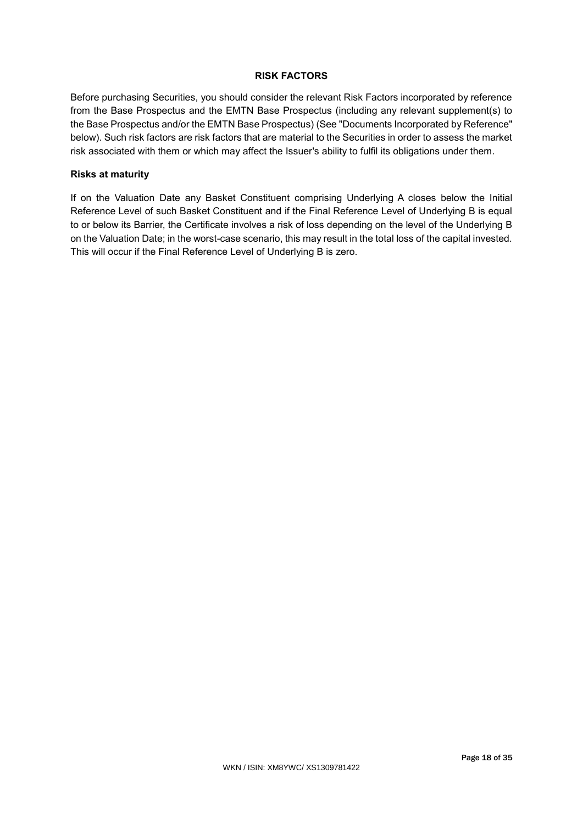# **RISK FACTORS**

Before purchasing Securities, you should consider the relevant Risk Factors incorporated by reference from the Base Prospectus and the EMTN Base Prospectus (including any relevant supplement(s) to the Base Prospectus and/or the EMTN Base Prospectus) (See "Documents Incorporated by Reference" below). Such risk factors are risk factors that are material to the Securities in order to assess the market risk associated with them or which may affect the Issuer's ability to fulfil its obligations under them.

# **Risks at maturity**

If on the Valuation Date any Basket Constituent comprising Underlying A closes below the Initial Reference Level of such Basket Constituent and if the Final Reference Level of Underlying B is equal to or below its Barrier, the Certificate involves a risk of loss depending on the level of the Underlying B on the Valuation Date; in the worst-case scenario, this may result in the total loss of the capital invested. This will occur if the Final Reference Level of Underlying B is zero.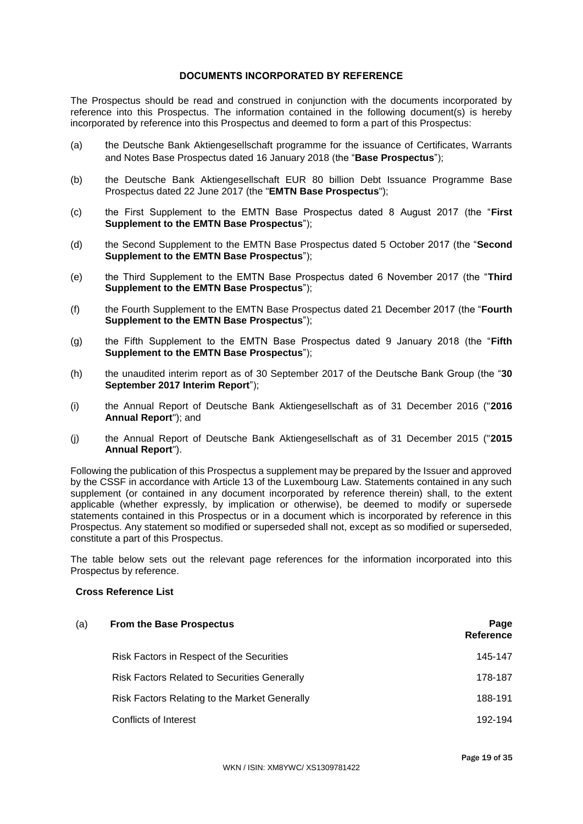# **DOCUMENTS INCORPORATED BY REFERENCE**

The Prospectus should be read and construed in conjunction with the documents incorporated by reference into this Prospectus. The information contained in the following document(s) is hereby incorporated by reference into this Prospectus and deemed to form a part of this Prospectus:

- (a) the Deutsche Bank Aktiengesellschaft programme for the issuance of Certificates, Warrants and Notes Base Prospectus dated 16 January 2018 (the "**Base Prospectus**");
- (b) the Deutsche Bank Aktiengesellschaft EUR 80 billion Debt Issuance Programme Base Prospectus dated 22 June 2017 (the "**EMTN Base Prospectus**");
- (c) the First Supplement to the EMTN Base Prospectus dated 8 August 2017 (the "**First Supplement to the EMTN Base Prospectus**");
- (d) the Second Supplement to the EMTN Base Prospectus dated 5 October 2017 (the "**Second Supplement to the EMTN Base Prospectus**");
- (e) the Third Supplement to the EMTN Base Prospectus dated 6 November 2017 (the "**Third Supplement to the EMTN Base Prospectus**");
- (f) the Fourth Supplement to the EMTN Base Prospectus dated 21 December 2017 (the "**Fourth Supplement to the EMTN Base Prospectus**");
- (g) the Fifth Supplement to the EMTN Base Prospectus dated 9 January 2018 (the "**Fifth Supplement to the EMTN Base Prospectus**");
- (h) the unaudited interim report as of 30 September 2017 of the Deutsche Bank Group (the "**30 September 2017 Interim Report**");
- (i) the Annual Report of Deutsche Bank Aktiengesellschaft as of 31 December 2016 ("**2016 Annual Report**"); and
- (j) the Annual Report of Deutsche Bank Aktiengesellschaft as of 31 December 2015 ("**2015 Annual Report**").

Following the publication of this Prospectus a supplement may be prepared by the Issuer and approved by the CSSF in accordance with Article 13 of the Luxembourg Law. Statements contained in any such supplement (or contained in any document incorporated by reference therein) shall, to the extent applicable (whether expressly, by implication or otherwise), be deemed to modify or supersede statements contained in this Prospectus or in a document which is incorporated by reference in this Prospectus. Any statement so modified or superseded shall not, except as so modified or superseded, constitute a part of this Prospectus.

The table below sets out the relevant page references for the information incorporated into this Prospectus by reference.

## **Cross Reference List**

| (a) | <b>From the Base Prospectus</b>                     | Page<br>Reference |
|-----|-----------------------------------------------------|-------------------|
|     | Risk Factors in Respect of the Securities           | 145-147           |
|     | <b>Risk Factors Related to Securities Generally</b> | 178-187           |
|     | Risk Factors Relating to the Market Generally       | 188-191           |
|     | Conflicts of Interest                               | 192-194           |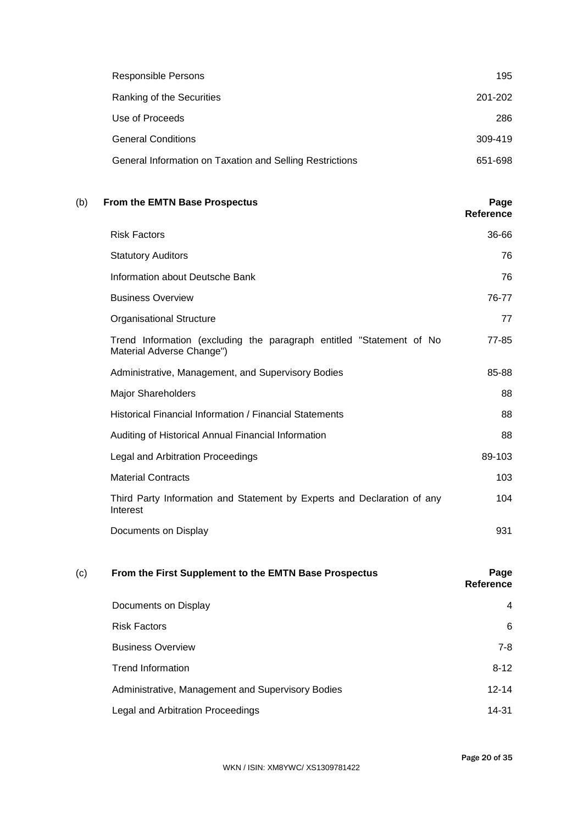| Responsible Persons                                      | 195     |
|----------------------------------------------------------|---------|
| Ranking of the Securities                                | 201-202 |
| Use of Proceeds                                          | 286     |
| <b>General Conditions</b>                                | 309-419 |
| General Information on Taxation and Selling Restrictions | 651-698 |

# (b) **From the EMTN Base Prospectus Page**

**Reference**

| <b>Risk Factors</b>                                                                               | 36-66  |
|---------------------------------------------------------------------------------------------------|--------|
| <b>Statutory Auditors</b>                                                                         | 76     |
| Information about Deutsche Bank                                                                   | 76     |
| <b>Business Overview</b>                                                                          | 76-77  |
| <b>Organisational Structure</b>                                                                   | 77     |
| Trend Information (excluding the paragraph entitled "Statement of No<br>Material Adverse Change") | 77-85  |
| Administrative, Management, and Supervisory Bodies                                                | 85-88  |
| <b>Major Shareholders</b>                                                                         | 88     |
| Historical Financial Information / Financial Statements                                           | 88     |
| Auditing of Historical Annual Financial Information                                               | 88     |
| Legal and Arbitration Proceedings                                                                 | 89-103 |
| <b>Material Contracts</b>                                                                         | 103    |
| Third Party Information and Statement by Experts and Declaration of any<br>Interest               | 104    |
| Documents on Display                                                                              | 931    |

# (c) **From the First Supplement to the EMTN Base Prospectus Page Reference** Documents on Display 4 Risk Factors 6 Business Overview 7-8 Trend Information 8-12 Administrative, Management and Supervisory Bodies 12-14 Legal and Arbitration Proceedings 14-31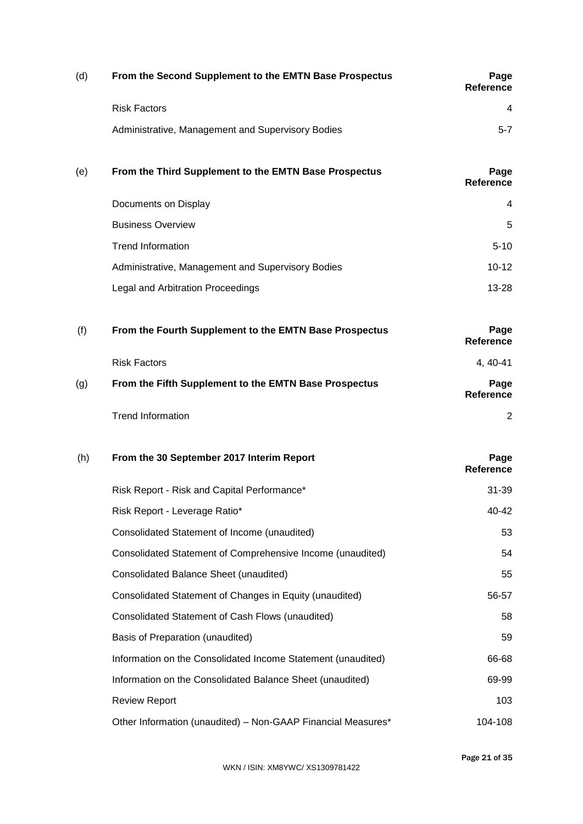| (d) | From the Second Supplement to the EMTN Base Prospectus       | Page<br><b>Reference</b> |
|-----|--------------------------------------------------------------|--------------------------|
|     | <b>Risk Factors</b>                                          | 4                        |
|     | Administrative, Management and Supervisory Bodies            | $5 - 7$                  |
| (e) | From the Third Supplement to the EMTN Base Prospectus        | Page<br><b>Reference</b> |
|     | Documents on Display                                         | 4                        |
|     | <b>Business Overview</b>                                     | 5                        |
|     | <b>Trend Information</b>                                     | $5 - 10$                 |
|     | Administrative, Management and Supervisory Bodies            | $10 - 12$                |
|     | Legal and Arbitration Proceedings                            | $13 - 28$                |
| (f) | From the Fourth Supplement to the EMTN Base Prospectus       | Page<br><b>Reference</b> |
|     | <b>Risk Factors</b>                                          | 4, 40-41                 |
| (g) | From the Fifth Supplement to the EMTN Base Prospectus        | Page<br><b>Reference</b> |
|     | <b>Trend Information</b>                                     | 2                        |
| (h) | From the 30 September 2017 Interim Report                    | Page<br><b>Reference</b> |
|     | Risk Report - Risk and Capital Performance*                  | $31 - 39$                |
|     | Risk Report - Leverage Ratio*                                | 40-42                    |
|     | Consolidated Statement of Income (unaudited)                 | 53                       |
|     | Consolidated Statement of Comprehensive Income (unaudited)   | 54                       |
|     | <b>Consolidated Balance Sheet (unaudited)</b>                | 55                       |
|     | Consolidated Statement of Changes in Equity (unaudited)      | 56-57                    |
|     | Consolidated Statement of Cash Flows (unaudited)             | 58                       |
|     | Basis of Preparation (unaudited)                             | 59                       |
|     | Information on the Consolidated Income Statement (unaudited) | 66-68                    |
|     | Information on the Consolidated Balance Sheet (unaudited)    | 69-99                    |
|     | <b>Review Report</b>                                         | 103                      |
|     | Other Information (unaudited) - Non-GAAP Financial Measures* | 104-108                  |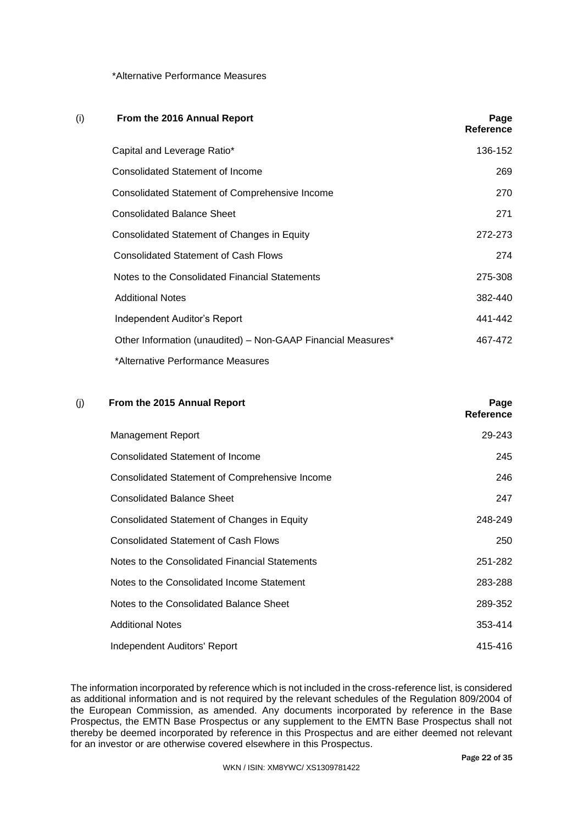# \*Alternative Performance Measures

| (i) | From the 2016 Annual Report                                  | Page<br>Reference |
|-----|--------------------------------------------------------------|-------------------|
|     | Capital and Leverage Ratio*                                  | 136-152           |
|     | Consolidated Statement of Income                             | 269               |
|     | Consolidated Statement of Comprehensive Income               | 270               |
|     | <b>Consolidated Balance Sheet</b>                            | 271               |
|     | Consolidated Statement of Changes in Equity                  | 272-273           |
|     | <b>Consolidated Statement of Cash Flows</b>                  | 274               |
|     | Notes to the Consolidated Financial Statements               | 275-308           |
|     | <b>Additional Notes</b>                                      | 382-440           |
|     | Independent Auditor's Report                                 | 441-442           |
|     | Other Information (unaudited) - Non-GAAP Financial Measures* | 467-472           |
|     | *Alternative Performance Measures                            |                   |

# (j) **From the 2015 Annual Report Page**

| From the 2015 Annual Report                    | Page<br>Reference |
|------------------------------------------------|-------------------|
| Management Report                              | 29-243            |
| Consolidated Statement of Income               | 245               |
| Consolidated Statement of Comprehensive Income | 246               |
| <b>Consolidated Balance Sheet</b>              | 247               |
| Consolidated Statement of Changes in Equity    | 248-249           |
| <b>Consolidated Statement of Cash Flows</b>    | 250               |
| Notes to the Consolidated Financial Statements | 251-282           |
| Notes to the Consolidated Income Statement     | 283-288           |
| Notes to the Consolidated Balance Sheet        | 289-352           |
| <b>Additional Notes</b>                        | 353-414           |
| Independent Auditors' Report                   | 415-416           |

The information incorporated by reference which is not included in the cross-reference list, is considered as additional information and is not required by the relevant schedules of the Regulation 809/2004 of the European Commission, as amended. Any documents incorporated by reference in the Base Prospectus, the EMTN Base Prospectus or any supplement to the EMTN Base Prospectus shall not thereby be deemed incorporated by reference in this Prospectus and are either deemed not relevant for an investor or are otherwise covered elsewhere in this Prospectus.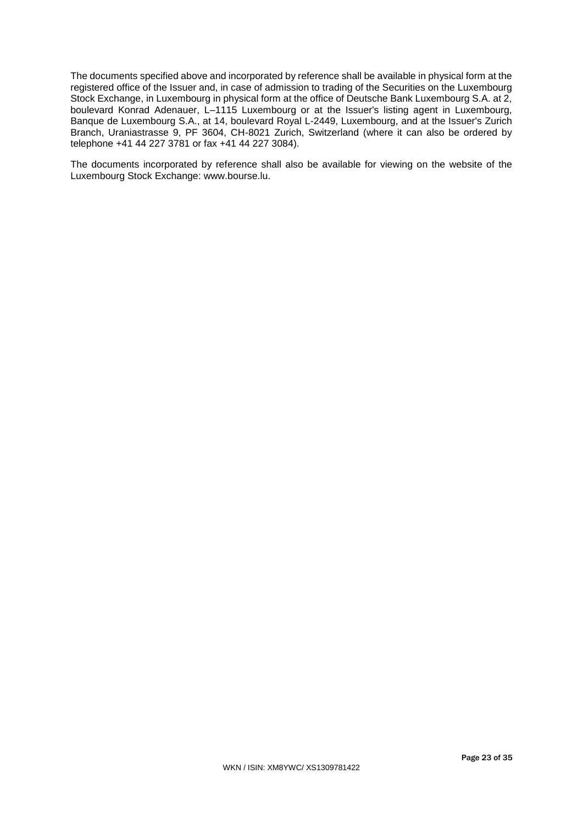The documents specified above and incorporated by reference shall be available in physical form at the registered office of the Issuer and, in case of admission to trading of the Securities on the Luxembourg Stock Exchange, in Luxembourg in physical form at the office of Deutsche Bank Luxembourg S.A. at 2, boulevard Konrad Adenauer, L–1115 Luxembourg or at the Issuer's listing agent in Luxembourg, Banque de Luxembourg S.A., at 14, boulevard Royal L-2449, Luxembourg, and at the Issuer's Zurich Branch, Uraniastrasse 9, PF 3604, CH-8021 Zurich, Switzerland (where it can also be ordered by telephone +41 44 227 3781 or fax +41 44 227 3084).

The documents incorporated by reference shall also be available for viewing on the website of the Luxembourg Stock Exchange: www.bourse.lu.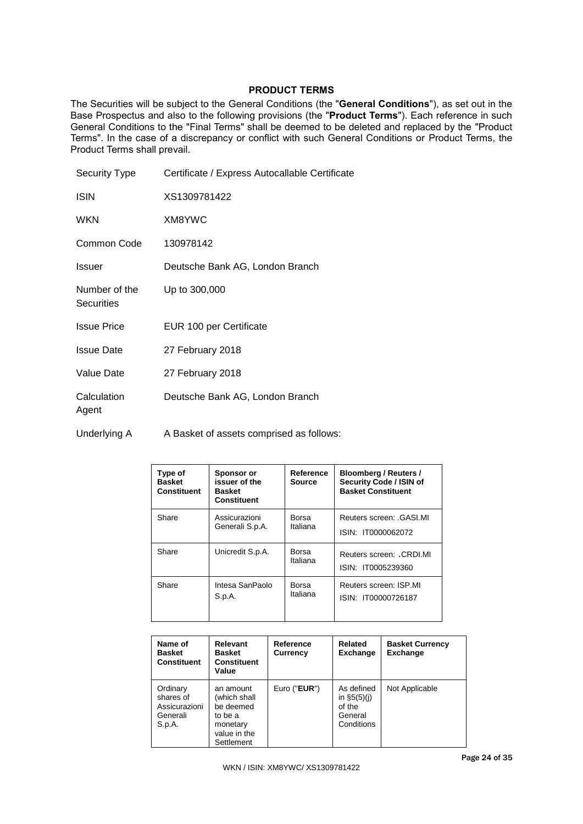# **PRODUCT TERMS**

The Securities will be subject to the General Conditions (the "**General Conditions**"), as set out in the Base Prospectus and also to the following provisions (the "**Product Terms**"). Each reference in such General Conditions to the "Final Terms" shall be deemed to be deleted and replaced by the "Product Terms". In the case of a discrepancy or conflict with such General Conditions or Product Terms, the Product Terms shall prevail.

| Certificate / Express Autocallable Certificate |
|------------------------------------------------|
| XS1309781422                                   |
| XM8YWC                                         |
| 130978142                                      |
| Deutsche Bank AG, London Branch                |
| Up to 300,000                                  |
| EUR 100 per Certificate                        |
| 27 February 2018                               |
| 27 February 2018                               |
| Deutsche Bank AG, London Branch                |
|                                                |

Underlying A A Basket of assets comprised as follows:

| Type of<br><b>Basket</b><br><b>Constituent</b> | Sponsor or<br>issuer of the<br><b>Basket</b><br>Constituent | Reference<br><b>Source</b> | Bloomberg / Reuters /<br>Security Code / ISIN of<br><b>Basket Constituent</b> |
|------------------------------------------------|-------------------------------------------------------------|----------------------------|-------------------------------------------------------------------------------|
| Share                                          | Assicurazioni                                               | Borsa                      | Reuters screen: .GASI.MI                                                      |
|                                                | Generali S.p.A.                                             | Italiana                   | ISIN: IT0000062072                                                            |
| Share                                          | Unicredit S.p.A.                                            | Borsa<br>Italiana          | Reuters screen: .CRDI.MI<br>ISIN: IT0005239360                                |
| Share                                          | Intesa SanPaolo                                             | Borsa                      | Reuters screen: ISP.MI                                                        |
|                                                | S.p.A.                                                      | Italiana                   | ISIN: IT00000726187                                                           |

| Name of<br><b>Basket</b><br><b>Constituent</b>               | <b>Relevant</b><br><b>Basket</b><br><b>Constituent</b><br>Value                             | Reference<br>Currency | Related<br><b>Exchange</b>                                     | <b>Basket Currency</b><br><b>Exchange</b> |
|--------------------------------------------------------------|---------------------------------------------------------------------------------------------|-----------------------|----------------------------------------------------------------|-------------------------------------------|
| Ordinary<br>shares of<br>Assicurazioni<br>Generali<br>S.p.A. | an amount<br>(which shall<br>be deemed<br>to be a<br>monetary<br>value in the<br>Settlement | Euro (" $EUR$ ")      | As defined<br>in $$5(5)(i)$<br>of the<br>General<br>Conditions | Not Applicable                            |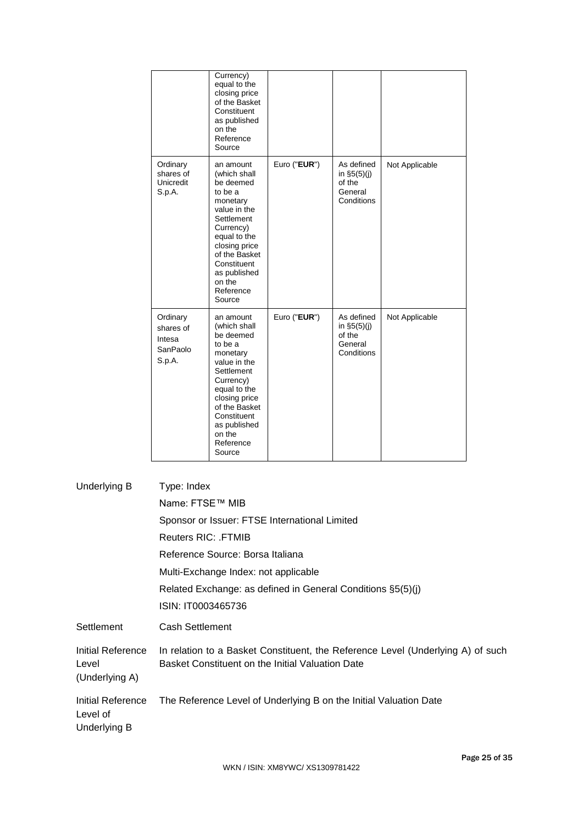|                                                       | Currency)<br>equal to the<br>closing price<br>of the Basket<br>Constituent<br>as published<br>on the<br>Reference<br>Source                                                                                                |              |                                                                |                |
|-------------------------------------------------------|----------------------------------------------------------------------------------------------------------------------------------------------------------------------------------------------------------------------------|--------------|----------------------------------------------------------------|----------------|
| Ordinary<br>shares of<br>Unicredit<br>S.p.A.          | an amount<br>(which shall<br>be deemed<br>to be a<br>monetary<br>value in the<br>Settlement<br>Currency)<br>equal to the<br>closing price<br>of the Basket<br>Constituent<br>as published<br>on the<br>Reference<br>Source | Euro ("EUR") | As defined<br>in $$5(5)(j)$<br>of the<br>General<br>Conditions | Not Applicable |
| Ordinary<br>shares of<br>Intesa<br>SanPaolo<br>S.p.A. | an amount<br>(which shall<br>be deemed<br>to be a<br>monetary<br>value in the<br>Settlement<br>Currency)<br>equal to the<br>closing price<br>of the Basket<br>Constituent<br>as published<br>on the<br>Reference<br>Source | Euro ("EUR") | As defined<br>in $$5(5)(j)$<br>of the<br>General<br>Conditions | Not Applicable |

| Underlying B                                         | Type: Index                                                                                                                         |
|------------------------------------------------------|-------------------------------------------------------------------------------------------------------------------------------------|
|                                                      | Name: FTSE™ MIB                                                                                                                     |
|                                                      | Sponsor or Issuer: FTSE International Limited                                                                                       |
|                                                      | <b>Reuters RIC: FTMIB</b>                                                                                                           |
|                                                      | Reference Source: Borsa Italiana                                                                                                    |
|                                                      | Multi-Exchange Index: not applicable                                                                                                |
|                                                      | Related Exchange: as defined in General Conditions §5(5)(j)                                                                         |
|                                                      | ISIN: IT0003465736                                                                                                                  |
| Settlement                                           | <b>Cash Settlement</b>                                                                                                              |
| Initial Reference<br>Level<br>(Underlying A)         | In relation to a Basket Constituent, the Reference Level (Underlying A) of such<br>Basket Constituent on the Initial Valuation Date |
| <b>Initial Reference</b><br>Level of<br>Underlying B | The Reference Level of Underlying B on the Initial Valuation Date                                                                   |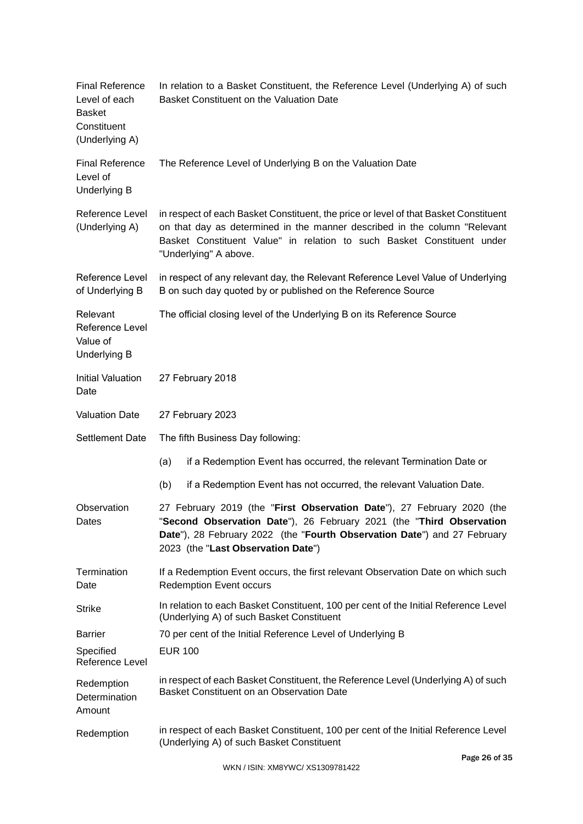| <b>Final Reference</b><br>Level of each<br><b>Basket</b><br>Constituent<br>(Underlying A) | In relation to a Basket Constituent, the Reference Level (Underlying A) of such<br>Basket Constituent on the Valuation Date                                                                                                                                          |  |  |
|-------------------------------------------------------------------------------------------|----------------------------------------------------------------------------------------------------------------------------------------------------------------------------------------------------------------------------------------------------------------------|--|--|
| <b>Final Reference</b><br>Level of<br><b>Underlying B</b>                                 | The Reference Level of Underlying B on the Valuation Date                                                                                                                                                                                                            |  |  |
| Reference Level<br>(Underlying A)                                                         | in respect of each Basket Constituent, the price or level of that Basket Constituent<br>on that day as determined in the manner described in the column "Relevant<br>Basket Constituent Value" in relation to such Basket Constituent under<br>"Underlying" A above. |  |  |
| Reference Level<br>of Underlying B                                                        | in respect of any relevant day, the Relevant Reference Level Value of Underlying<br>B on such day quoted by or published on the Reference Source                                                                                                                     |  |  |
| Relevant<br><b>Reference Level</b><br>Value of<br><b>Underlying B</b>                     | The official closing level of the Underlying B on its Reference Source                                                                                                                                                                                               |  |  |
| <b>Initial Valuation</b><br>Date                                                          | 27 February 2018                                                                                                                                                                                                                                                     |  |  |
| <b>Valuation Date</b>                                                                     | 27 February 2023                                                                                                                                                                                                                                                     |  |  |
| <b>Settlement Date</b>                                                                    | The fifth Business Day following:                                                                                                                                                                                                                                    |  |  |
|                                                                                           | (a)<br>if a Redemption Event has occurred, the relevant Termination Date or                                                                                                                                                                                          |  |  |
|                                                                                           | if a Redemption Event has not occurred, the relevant Valuation Date.<br>(b)                                                                                                                                                                                          |  |  |
| Observation<br>Dates                                                                      | 27 February 2019 (the "First Observation Date"), 27 February 2020 (the<br>"Second Observation Date"), 26 February 2021 (the "Third Observation<br>Date"), 28 February 2022 (the "Fourth Observation Date") and 27 February<br>2023 (the "Last Observation Date")     |  |  |
| Termination<br>Date                                                                       | If a Redemption Event occurs, the first relevant Observation Date on which such<br><b>Redemption Event occurs</b>                                                                                                                                                    |  |  |
| <b>Strike</b>                                                                             | In relation to each Basket Constituent, 100 per cent of the Initial Reference Level<br>(Underlying A) of such Basket Constituent                                                                                                                                     |  |  |
| <b>Barrier</b>                                                                            | 70 per cent of the Initial Reference Level of Underlying B                                                                                                                                                                                                           |  |  |
| Specified<br>Reference Level                                                              | <b>EUR 100</b>                                                                                                                                                                                                                                                       |  |  |
| Redemption<br>Determination<br>Amount                                                     | in respect of each Basket Constituent, the Reference Level (Underlying A) of such<br>Basket Constituent on an Observation Date                                                                                                                                       |  |  |
| Redemption                                                                                | in respect of each Basket Constituent, 100 per cent of the Initial Reference Level<br>(Underlying A) of such Basket Constituent                                                                                                                                      |  |  |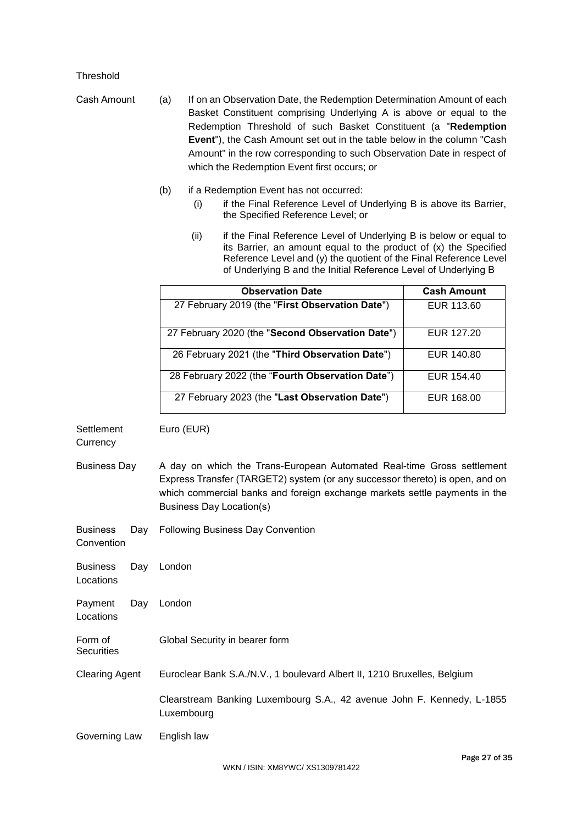# Threshold

Cash Amount (a) If on an Observation Date, the Redemption Determination Amount of each Basket Constituent comprising Underlying A is above or equal to the Redemption Threshold of such Basket Constituent (a "**Redemption Event**"), the Cash Amount set out in the table below in the column "Cash Amount" in the row corresponding to such Observation Date in respect of which the Redemption Event first occurs; or

- (b) if a Redemption Event has not occurred:
	- (i) if the Final Reference Level of Underlying B is above its Barrier, the Specified Reference Level; or
	- (ii) if the Final Reference Level of Underlying B is below or equal to its Barrier, an amount equal to the product of (x) the Specified Reference Level and (y) the quotient of the Final Reference Level of Underlying B and the Initial Reference Level of Underlying B

| <b>Observation Date</b>                          | <b>Cash Amount</b> |
|--------------------------------------------------|--------------------|
| 27 February 2019 (the "First Observation Date")  | EUR 113.60         |
| 27 February 2020 (the "Second Observation Date") | EUR 127.20         |
| 26 February 2021 (the "Third Observation Date")  | EUR 140.80         |
| 28 February 2022 (the "Fourth Observation Date") | EUR 154.40         |
| 27 February 2023 (the "Last Observation Date")   | EUR 168.00         |

Business Day A day on which the Trans-European Automated Real-time Gross settlement Express Transfer (TARGET2) system (or any successor thereto) is open, and on which commercial banks and foreign exchange markets settle payments in the Business Day Location(s)

Business Day Following Business Day Convention

Euro (EUR)

Business Day Locations London Payment Day London

Locations

**Settlement Currency** 

Convention

- Form of **Securities** Global Security in bearer form
- Clearing Agent Euroclear Bank S.A./N.V., 1 boulevard Albert II, 1210 Bruxelles, Belgium

Clearstream Banking Luxembourg S.A., 42 avenue John F. Kennedy, L-1855 Luxembourg

Governing Law English law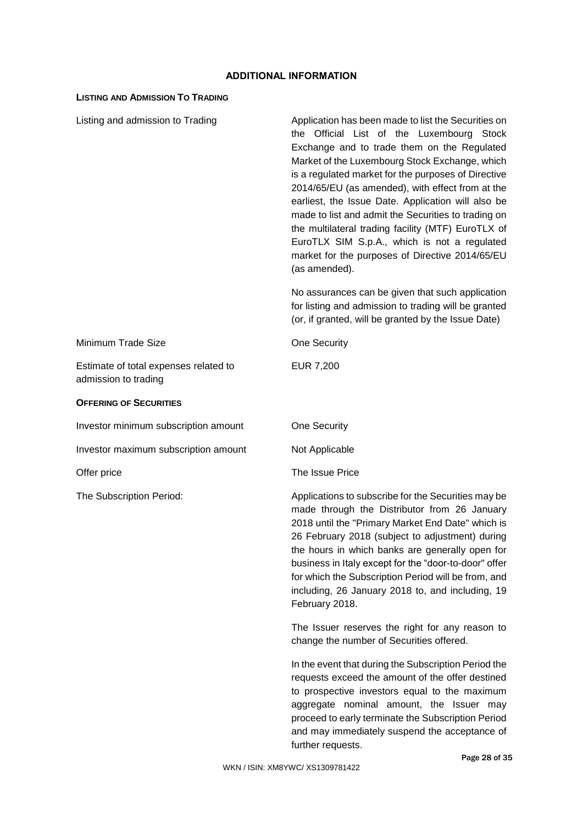# **ADDITIONAL INFORMATION**

# **LISTING AND ADMISSION TO TRADING**

| Listing and admission to Trading                              | Application has been made to list the Securities on<br>the Official List of the Luxembourg Stock<br>Exchange and to trade them on the Regulated<br>Market of the Luxembourg Stock Exchange, which<br>is a regulated market for the purposes of Directive<br>2014/65/EU (as amended), with effect from at the<br>earliest, the Issue Date. Application will also be<br>made to list and admit the Securities to trading on<br>the multilateral trading facility (MTF) EuroTLX of<br>EuroTLX SIM S.p.A., which is not a regulated<br>market for the purposes of Directive 2014/65/EU<br>(as amended). |
|---------------------------------------------------------------|-----------------------------------------------------------------------------------------------------------------------------------------------------------------------------------------------------------------------------------------------------------------------------------------------------------------------------------------------------------------------------------------------------------------------------------------------------------------------------------------------------------------------------------------------------------------------------------------------------|
|                                                               | No assurances can be given that such application<br>for listing and admission to trading will be granted<br>(or, if granted, will be granted by the Issue Date)                                                                                                                                                                                                                                                                                                                                                                                                                                     |
| Minimum Trade Size                                            | <b>One Security</b>                                                                                                                                                                                                                                                                                                                                                                                                                                                                                                                                                                                 |
| Estimate of total expenses related to<br>admission to trading | <b>EUR 7,200</b>                                                                                                                                                                                                                                                                                                                                                                                                                                                                                                                                                                                    |
| <b>OFFERING OF SECURITIES</b>                                 |                                                                                                                                                                                                                                                                                                                                                                                                                                                                                                                                                                                                     |
| Investor minimum subscription amount                          | One Security                                                                                                                                                                                                                                                                                                                                                                                                                                                                                                                                                                                        |
| Investor maximum subscription amount                          | Not Applicable                                                                                                                                                                                                                                                                                                                                                                                                                                                                                                                                                                                      |
| Offer price                                                   | The Issue Price                                                                                                                                                                                                                                                                                                                                                                                                                                                                                                                                                                                     |
| The Subscription Period:                                      | Applications to subscribe for the Securities may be<br>made through the Distributor from 26 January<br>2018 until the "Primary Market End Date" which is<br>26 February 2018 (subject to adjustment) during<br>the hours in which banks are generally open for<br>business in Italy except for the "door-to-door" offer<br>for which the Subscription Period will be from, and<br>including, 26 January 2018 to, and including, 19<br>February 2018.                                                                                                                                                |
|                                                               | The Issuer reserves the right for any reason to<br>change the number of Securities offered.                                                                                                                                                                                                                                                                                                                                                                                                                                                                                                         |
|                                                               | In the event that during the Subscription Period the<br>requests exceed the amount of the offer destined<br>to prospective investors equal to the maximum<br>aggregate nominal amount, the Issuer may<br>proceed to early terminate the Subscription Period<br>and may immediately suspend the acceptance of<br>further requests.                                                                                                                                                                                                                                                                   |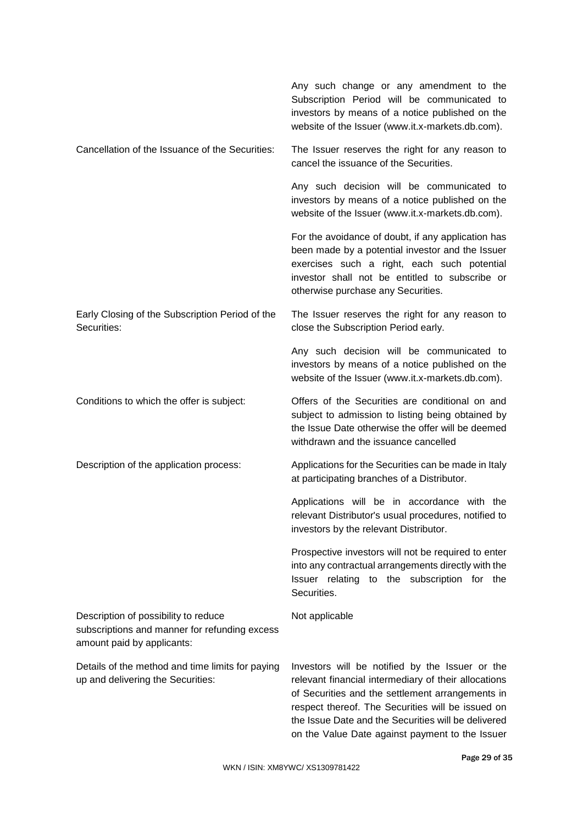|                                                                                                                     | Any such change or any amendment to the<br>Subscription Period will be communicated to<br>investors by means of a notice published on the<br>website of the Issuer (www.it.x-markets.db.com).                                                                                                                              |
|---------------------------------------------------------------------------------------------------------------------|----------------------------------------------------------------------------------------------------------------------------------------------------------------------------------------------------------------------------------------------------------------------------------------------------------------------------|
| Cancellation of the Issuance of the Securities:                                                                     | The Issuer reserves the right for any reason to<br>cancel the issuance of the Securities.                                                                                                                                                                                                                                  |
|                                                                                                                     | Any such decision will be communicated to<br>investors by means of a notice published on the<br>website of the Issuer (www.it.x-markets.db.com).                                                                                                                                                                           |
|                                                                                                                     | For the avoidance of doubt, if any application has<br>been made by a potential investor and the Issuer<br>exercises such a right, each such potential<br>investor shall not be entitled to subscribe or<br>otherwise purchase any Securities.                                                                              |
| Early Closing of the Subscription Period of the<br>Securities:                                                      | The Issuer reserves the right for any reason to<br>close the Subscription Period early.                                                                                                                                                                                                                                    |
|                                                                                                                     | Any such decision will be communicated to<br>investors by means of a notice published on the<br>website of the Issuer (www.it.x-markets.db.com).                                                                                                                                                                           |
| Conditions to which the offer is subject:                                                                           | Offers of the Securities are conditional on and<br>subject to admission to listing being obtained by<br>the Issue Date otherwise the offer will be deemed<br>withdrawn and the issuance cancelled                                                                                                                          |
| Description of the application process:                                                                             | Applications for the Securities can be made in Italy<br>at participating branches of a Distributor.                                                                                                                                                                                                                        |
|                                                                                                                     | Applications will be in accordance with the<br>relevant Distributor's usual procedures, notified to<br>investors by the relevant Distributor.                                                                                                                                                                              |
|                                                                                                                     | Prospective investors will not be required to enter<br>into any contractual arrangements directly with the<br>Issuer relating to the subscription for the<br>Securities.                                                                                                                                                   |
| Description of possibility to reduce<br>subscriptions and manner for refunding excess<br>amount paid by applicants: | Not applicable                                                                                                                                                                                                                                                                                                             |
| Details of the method and time limits for paying<br>up and delivering the Securities:                               | Investors will be notified by the Issuer or the<br>relevant financial intermediary of their allocations<br>of Securities and the settlement arrangements in<br>respect thereof. The Securities will be issued on<br>the Issue Date and the Securities will be delivered<br>on the Value Date against payment to the Issuer |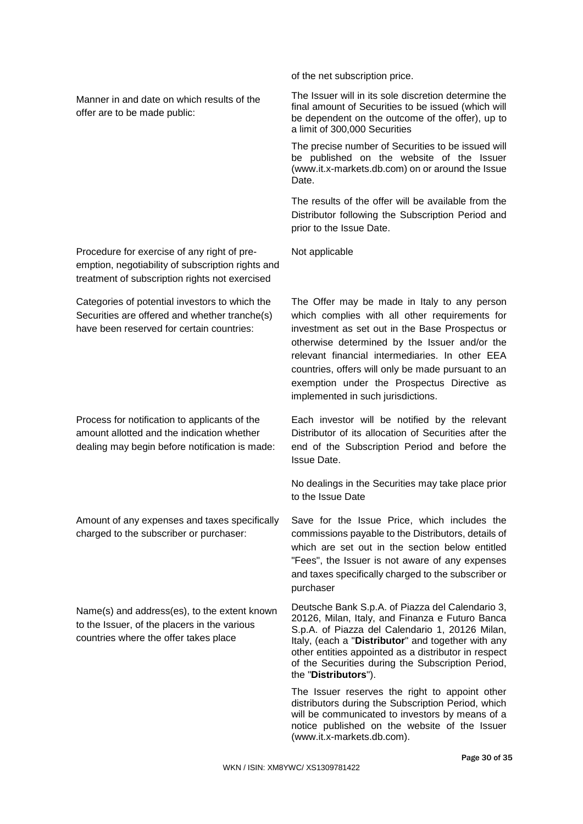Manner in and date on which results of the offer are to be made public:

Procedure for exercise of any right of preemption, negotiability of subscription rights and treatment of subscription rights not exercised

Categories of potential investors to which the Securities are offered and whether tranche(s) have been reserved for certain countries:

Process for notification to applicants of the amount allotted and the indication whether dealing may begin before notification is made:

Amount of any expenses and taxes specifically charged to the subscriber or purchaser:

Name(s) and address(es), to the extent known to the Issuer, of the placers in the various countries where the offer takes place

of the net subscription price.

The Issuer will in its sole discretion determine the final amount of Securities to be issued (which will be dependent on the outcome of the offer), up to a limit of 300,000 Securities

The precise number of Securities to be issued will be published on the website of the Issuer (www.it.x-markets.db.com) on or around the Issue Date.

The results of the offer will be available from the Distributor following the Subscription Period and prior to the Issue Date.

Not applicable

The Offer may be made in Italy to any person which complies with all other requirements for investment as set out in the Base Prospectus or otherwise determined by the Issuer and/or the relevant financial intermediaries. In other EEA countries, offers will only be made pursuant to an exemption under the Prospectus Directive as implemented in such jurisdictions.

Each investor will be notified by the relevant Distributor of its allocation of Securities after the end of the Subscription Period and before the Issue Date.

No dealings in the Securities may take place prior to the Issue Date

Save for the Issue Price, which includes the commissions payable to the Distributors, details of which are set out in the section below entitled "Fees", the Issuer is not aware of any expenses and taxes specifically charged to the subscriber or purchaser

Deutsche Bank S.p.A. of Piazza del Calendario 3, 20126, Milan, Italy, and Finanza e Futuro Banca S.p.A. of Piazza del Calendario 1, 20126 Milan, Italy, (each a "**Distributor**" and together with any other entities appointed as a distributor in respect of the Securities during the Subscription Period, the "**Distributors**").

The Issuer reserves the right to appoint other distributors during the Subscription Period, which will be communicated to investors by means of a notice published on the website of the Issuer (www.it.x-markets.db.com).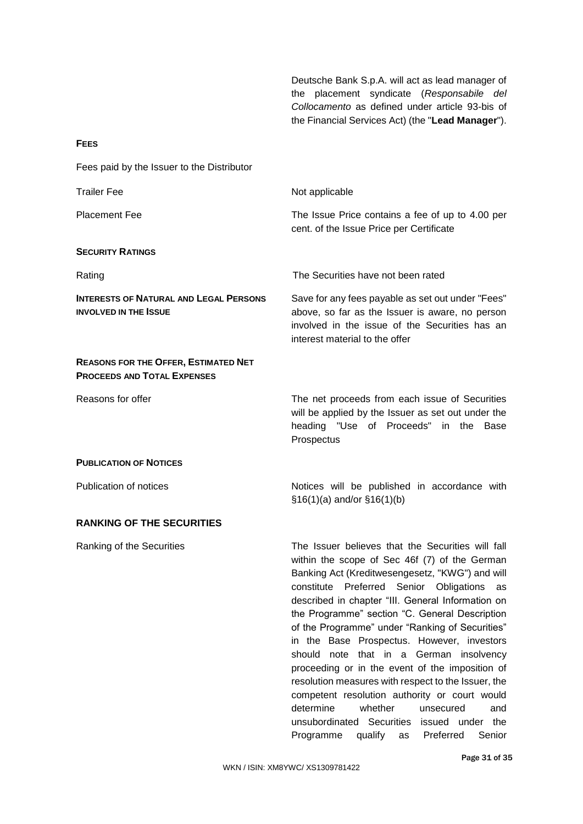Deutsche Bank S.p.A. will act as lead manager of the placement syndicate (*Responsabile del Collocamento* as defined under article 93-bis of the Financial Services Act) (the "**Lead Manager**").

| Fees paid by the Issuer to the Distributor                                        |                                                                                                                                                                                                                                                                                                                                                                                                                                                                                                                                                                                                                                                                                                                   |
|-----------------------------------------------------------------------------------|-------------------------------------------------------------------------------------------------------------------------------------------------------------------------------------------------------------------------------------------------------------------------------------------------------------------------------------------------------------------------------------------------------------------------------------------------------------------------------------------------------------------------------------------------------------------------------------------------------------------------------------------------------------------------------------------------------------------|
| <b>Trailer Fee</b>                                                                | Not applicable                                                                                                                                                                                                                                                                                                                                                                                                                                                                                                                                                                                                                                                                                                    |
| <b>Placement Fee</b>                                                              | The Issue Price contains a fee of up to 4.00 per<br>cent. of the Issue Price per Certificate                                                                                                                                                                                                                                                                                                                                                                                                                                                                                                                                                                                                                      |
| <b>SECURITY RATINGS</b>                                                           |                                                                                                                                                                                                                                                                                                                                                                                                                                                                                                                                                                                                                                                                                                                   |
| Rating                                                                            | The Securities have not been rated                                                                                                                                                                                                                                                                                                                                                                                                                                                                                                                                                                                                                                                                                |
| <b>INTERESTS OF NATURAL AND LEGAL PERSONS</b><br><b>INVOLVED IN THE ISSUE</b>     | Save for any fees payable as set out under "Fees"<br>above, so far as the Issuer is aware, no person<br>involved in the issue of the Securities has an<br>interest material to the offer                                                                                                                                                                                                                                                                                                                                                                                                                                                                                                                          |
| <b>REASONS FOR THE OFFER, ESTIMATED NET</b><br><b>PROCEEDS AND TOTAL EXPENSES</b> |                                                                                                                                                                                                                                                                                                                                                                                                                                                                                                                                                                                                                                                                                                                   |
| Reasons for offer                                                                 | The net proceeds from each issue of Securities<br>will be applied by the Issuer as set out under the<br>heading "Use of Proceeds" in the Base<br>Prospectus                                                                                                                                                                                                                                                                                                                                                                                                                                                                                                                                                       |
| <b>PUBLICATION OF NOTICES</b>                                                     |                                                                                                                                                                                                                                                                                                                                                                                                                                                                                                                                                                                                                                                                                                                   |
| Publication of notices                                                            | Notices will be published in accordance with<br>$§16(1)(a)$ and/or $§16(1)(b)$                                                                                                                                                                                                                                                                                                                                                                                                                                                                                                                                                                                                                                    |
| <b>RANKING OF THE SECURITIES</b>                                                  |                                                                                                                                                                                                                                                                                                                                                                                                                                                                                                                                                                                                                                                                                                                   |
| Ranking of the Securities                                                         | The Issuer believes that the Securities will fall<br>within the scope of Sec 46f (7) of the German<br>Banking Act (Kreditwesengesetz, "KWG") and will<br>constitute Preferred Senior Obligations<br>as<br>described in chapter "III. General Information on<br>the Programme" section "C. General Description<br>of the Programme" under "Ranking of Securities"<br>in the Base Prospectus. However, investors<br>should note that in a German insolvency<br>proceeding or in the event of the imposition of<br>resolution measures with respect to the Issuer, the<br>competent resolution authority or court would<br>determine<br>whether<br>unsecured<br>and<br>unsubordinated Securities issued under<br>the |

**FEES**

Programme qualify as Preferred Senior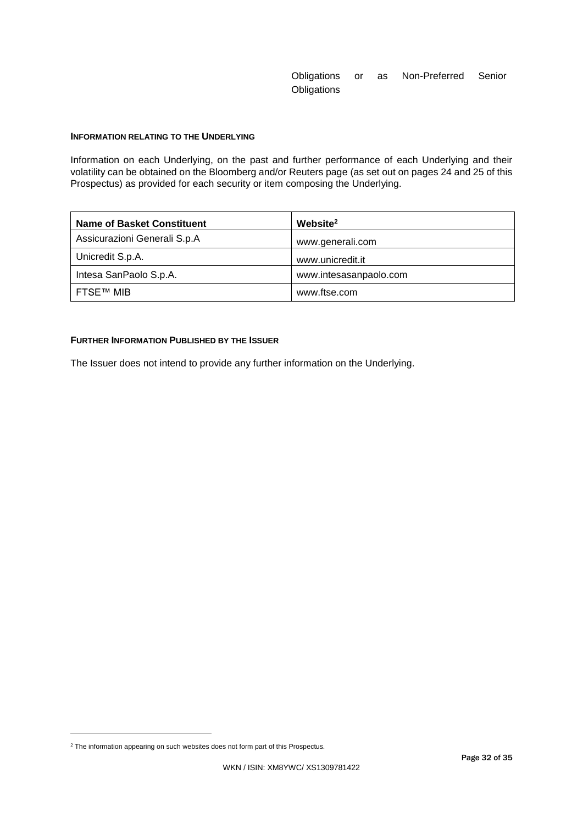# Obligations or as Non-Preferred Senior **Obligations**

# **INFORMATION RELATING TO THE UNDERLYING**

Information on each Underlying, on the past and further performance of each Underlying and their volatility can be obtained on the Bloomberg and/or Reuters page (as set out on pages 24 and 25 of this Prospectus) as provided for each security or item composing the Underlying.

| <b>Name of Basket Constituent</b> | Website <sup>2</sup>   |
|-----------------------------------|------------------------|
| Assicurazioni Generali S.p.A      | www.generali.com       |
| Unicredit S.p.A.                  | www.unicredit.it       |
| Intesa SanPaolo S.p.A.            | www.intesasanpaolo.com |
| FTSE™ MIB                         | www.ftse.com           |

## **FURTHER INFORMATION PUBLISHED BY THE ISSUER**

The Issuer does not intend to provide any further information on the Underlying.

 $\overline{a}$ 

<sup>&</sup>lt;sup>2</sup> The information appearing on such websites does not form part of this Prospectus.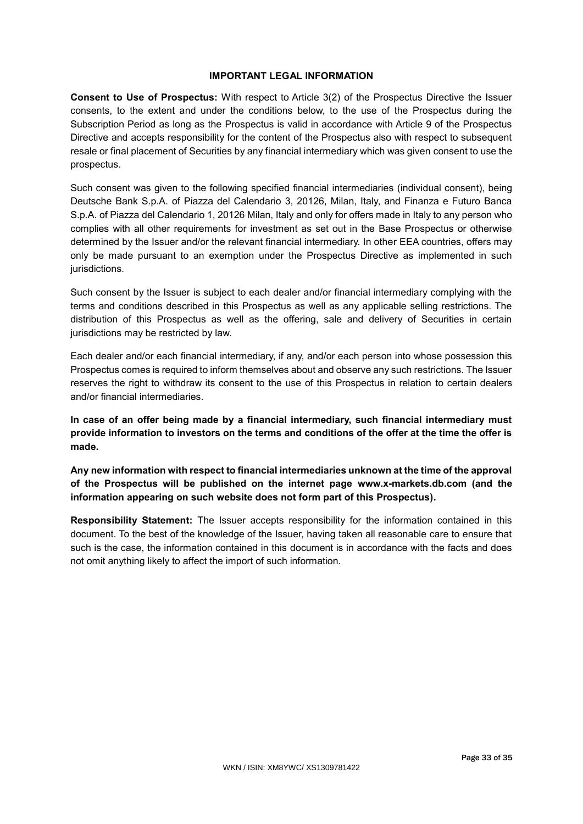# **IMPORTANT LEGAL INFORMATION**

**Consent to Use of Prospectus:** With respect to Article 3(2) of the Prospectus Directive the Issuer consents, to the extent and under the conditions below, to the use of the Prospectus during the Subscription Period as long as the Prospectus is valid in accordance with Article 9 of the Prospectus Directive and accepts responsibility for the content of the Prospectus also with respect to subsequent resale or final placement of Securities by any financial intermediary which was given consent to use the prospectus.

Such consent was given to the following specified financial intermediaries (individual consent), being Deutsche Bank S.p.A. of Piazza del Calendario 3, 20126, Milan, Italy, and Finanza e Futuro Banca S.p.A. of Piazza del Calendario 1, 20126 Milan, Italy and only for offers made in Italy to any person who complies with all other requirements for investment as set out in the Base Prospectus or otherwise determined by the Issuer and/or the relevant financial intermediary. In other EEA countries, offers may only be made pursuant to an exemption under the Prospectus Directive as implemented in such jurisdictions.

Such consent by the Issuer is subject to each dealer and/or financial intermediary complying with the terms and conditions described in this Prospectus as well as any applicable selling restrictions. The distribution of this Prospectus as well as the offering, sale and delivery of Securities in certain jurisdictions may be restricted by law.

Each dealer and/or each financial intermediary, if any, and/or each person into whose possession this Prospectus comes is required to inform themselves about and observe any such restrictions. The Issuer reserves the right to withdraw its consent to the use of this Prospectus in relation to certain dealers and/or financial intermediaries.

**In case of an offer being made by a financial intermediary, such financial intermediary must provide information to investors on the terms and conditions of the offer at the time the offer is made.**

**Any new information with respect to financial intermediaries unknown at the time of the approval of the Prospectus will be published on the internet page www.x-markets.db.com (and the information appearing on such website does not form part of this Prospectus).**

**Responsibility Statement:** The Issuer accepts responsibility for the information contained in this document. To the best of the knowledge of the Issuer, having taken all reasonable care to ensure that such is the case, the information contained in this document is in accordance with the facts and does not omit anything likely to affect the import of such information.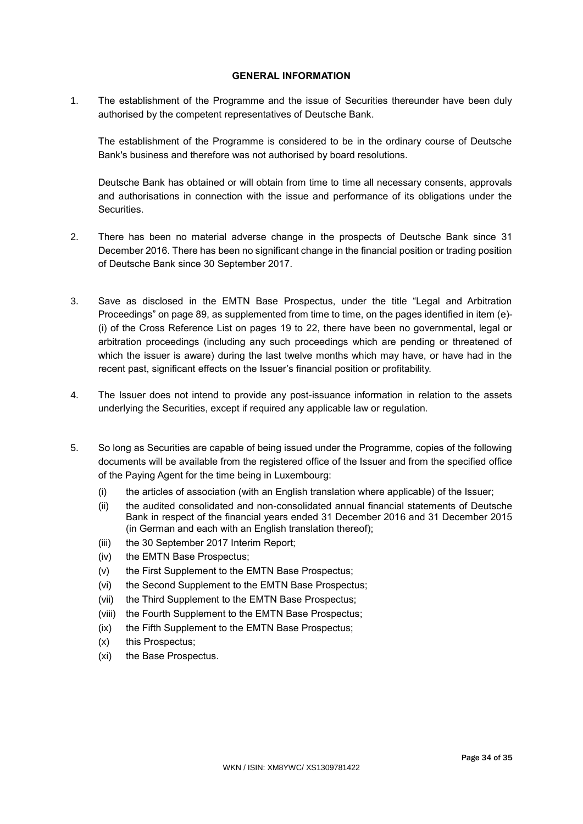# **GENERAL INFORMATION**

1. The establishment of the Programme and the issue of Securities thereunder have been duly authorised by the competent representatives of Deutsche Bank.

The establishment of the Programme is considered to be in the ordinary course of Deutsche Bank's business and therefore was not authorised by board resolutions.

Deutsche Bank has obtained or will obtain from time to time all necessary consents, approvals and authorisations in connection with the issue and performance of its obligations under the Securities.

- 2. There has been no material adverse change in the prospects of Deutsche Bank since 31 December 2016. There has been no significant change in the financial position or trading position of Deutsche Bank since 30 September 2017.
- 3. Save as disclosed in the EMTN Base Prospectus, under the title "Legal and Arbitration Proceedings" on page 89, as supplemented from time to time, on the pages identified in item (e)- (i) of the Cross Reference List on pages 19 to 22, there have been no governmental, legal or arbitration proceedings (including any such proceedings which are pending or threatened of which the issuer is aware) during the last twelve months which may have, or have had in the recent past, significant effects on the Issuer's financial position or profitability.
- 4. The Issuer does not intend to provide any post-issuance information in relation to the assets underlying the Securities, except if required any applicable law or regulation.
- 5. So long as Securities are capable of being issued under the Programme, copies of the following documents will be available from the registered office of the Issuer and from the specified office of the Paying Agent for the time being in Luxembourg:
	- (i) the articles of association (with an English translation where applicable) of the Issuer;
	- (ii) the audited consolidated and non-consolidated annual financial statements of Deutsche Bank in respect of the financial years ended 31 December 2016 and 31 December 2015 (in German and each with an English translation thereof);
	- (iii) the 30 September 2017 Interim Report;
	- (iv) the EMTN Base Prospectus;
	- (v) the First Supplement to the EMTN Base Prospectus;
	- (vi) the Second Supplement to the EMTN Base Prospectus;
	- (vii) the Third Supplement to the EMTN Base Prospectus;
	- (viii) the Fourth Supplement to the EMTN Base Prospectus;
	- (ix) the Fifth Supplement to the EMTN Base Prospectus;
	- (x) this Prospectus;
	- (xi) the Base Prospectus.